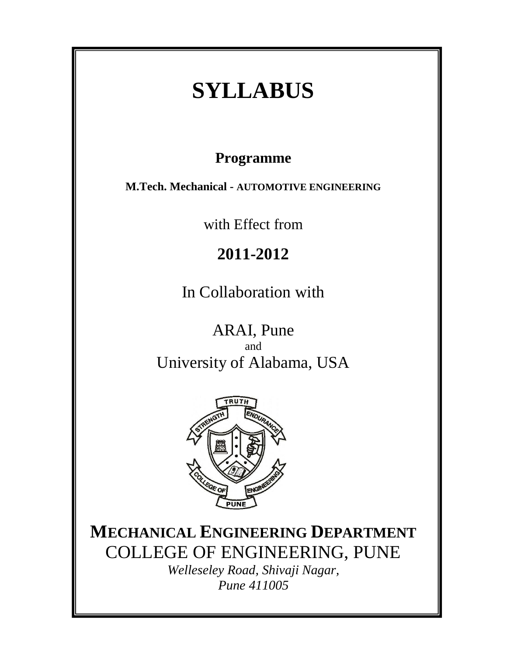# **SYLLABUS**

# **Programme**

**M.Tech. Mechanical - AUTOMOTIVE ENGINEERING**

with Effect from

# **2011-2012**

In Collaboration with

ARAI, Pune and University of Alabama, USA



**MECHANICAL ENGINEERING DEPARTMENT** COLLEGE OF ENGINEERING, PUNE

*Welleseley Road, Shivaji Nagar, Pune 411005*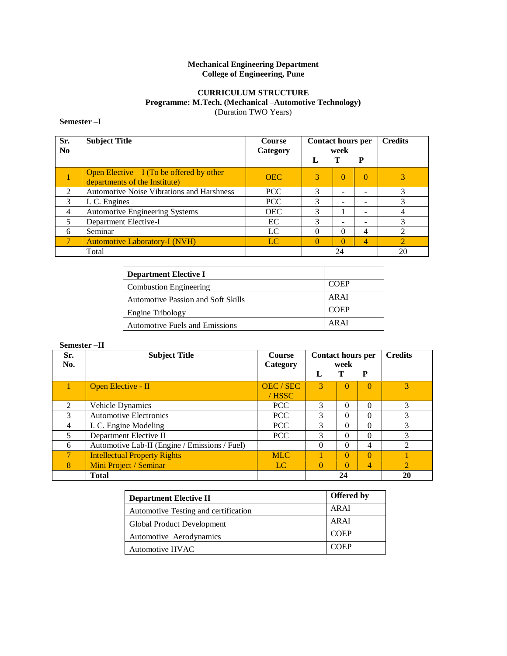# **Mechanical Engineering Department College of Engineering, Pune**

# **CURRICULUM STRUCTURE Programme: M.Tech. (Mechanical –Automotive Technology)** (Duration TWO Years)

# **Semester –I**

| Sr.<br>N <sub>0</sub> | <b>Subject Title</b>                                                         | <b>Course</b><br>Category | <b>Contact hours per</b><br>week |          | <b>Credits</b> |                |
|-----------------------|------------------------------------------------------------------------------|---------------------------|----------------------------------|----------|----------------|----------------|
|                       |                                                                              |                           |                                  |          | P              |                |
|                       | Open Elective $- I$ (To be offered by other<br>departments of the Institute) | <b>OEC</b>                | 3                                | $\Omega$ | $\Omega$       |                |
| $\mathfrak{D}$        | <b>Automotive Noise Vibrations and Harshness</b>                             | <b>PCC</b>                | 3                                |          |                | 3              |
| 3                     | I. C. Engines                                                                | PCC                       | 3                                |          |                |                |
| $\overline{4}$        | <b>Automotive Engineering Systems</b>                                        | <b>OEC</b>                | 3                                |          |                |                |
| 5                     | Department Elective-I                                                        | EC                        | 3                                | -        |                |                |
| 6                     | Seminar                                                                      | LC                        | 0                                | 0        | 4              |                |
|                       | <b>Automotive Laboratory-I (NVH)</b>                                         | LC                        | $\Omega$                         | $\Omega$ | 4              | $\overline{2}$ |
|                       | Total                                                                        |                           |                                  | 24       |                | 20             |

| <b>Department Elective I</b>          |             |
|---------------------------------------|-------------|
| <b>Combustion Engineering</b>         | <b>COEP</b> |
| Automotive Passion and Soft Skills    | ARAI        |
| <b>Engine Tribology</b>               | <b>COEP</b> |
| <b>Automotive Fuels and Emissions</b> | AR AI       |

# **Semester –II**

| Sr.            | <b>Subject Title</b>                          | <b>Course</b> | <b>Contact hours per</b> |          |          | <b>Credits</b>              |
|----------------|-----------------------------------------------|---------------|--------------------------|----------|----------|-----------------------------|
| No.            |                                               | Category      |                          | week     |          |                             |
|                |                                               |               | L                        |          | P        |                             |
|                | Open Elective - II                            | OEC/SEC       | $\mathcal{R}$            | $\Omega$ | $\Omega$ | 3                           |
|                |                                               | $/$ HSSC      |                          |          |          |                             |
| $\mathfrak{D}$ | Vehicle Dynamics                              | <b>PCC</b>    | 3                        | $\Omega$ | $\Omega$ | 3                           |
| 3              | <b>Automotive Electronics</b>                 | PCC           | 3                        | $\Omega$ | $\Omega$ | 3                           |
| $\overline{4}$ | I. C. Engine Modeling                         | <b>PCC</b>    | 3                        | $\Omega$ | $\Omega$ | 3                           |
| 5              | Department Elective II                        | <b>PCC</b>    | 3                        | 0        | $\Omega$ |                             |
| 6              | Automotive Lab-II (Engine / Emissions / Fuel) |               |                          | $\Omega$ | 4        | $\mathcal{D}_{\mathcal{L}}$ |
|                | <b>Intellectual Property Rights</b>           | <b>MLC</b>    |                          | $\Omega$ | $\Omega$ |                             |
| 8              | Mini Project / Seminar                        | LC            |                          | $\Omega$ | 4        | $\mathcal{D}_{\mathcal{L}}$ |
|                | <b>Total</b>                                  |               |                          | 24       |          | 20                          |

| <b>Department Elective II</b>        | <b>Offered</b> by |
|--------------------------------------|-------------------|
| Automotive Testing and certification | <b>ARAI</b>       |
| Global Product Development           | <b>ARAI</b>       |
| Automotive Aerodynamics              | <b>COEP</b>       |
| Automotive HVAC                      | <b>COEP</b>       |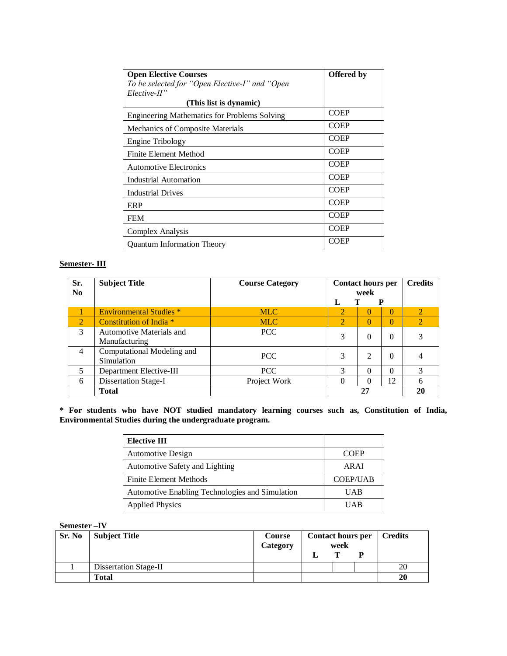| <b>Open Elective Courses</b><br>To be selected for "Open Elective-I" and "Open<br>$Electric$ - $II$ " | <b>Offered</b> by |
|-------------------------------------------------------------------------------------------------------|-------------------|
| (This list is dynamic)                                                                                |                   |
| <b>Engineering Mathematics for Problems Solving</b>                                                   | <b>COEP</b>       |
| Mechanics of Composite Materials                                                                      | <b>COEP</b>       |
| <b>Engine Tribology</b>                                                                               | <b>COEP</b>       |
| Finite Element Method                                                                                 | <b>COEP</b>       |
| <b>Automotive Electronics</b>                                                                         | <b>COEP</b>       |
| <b>Industrial Automation</b>                                                                          | <b>COEP</b>       |
| <b>Industrial Drives</b>                                                                              | <b>COEP</b>       |
| ERP                                                                                                   | <b>COEP</b>       |
| <b>FEM</b>                                                                                            | <b>COEP</b>       |
| Complex Analysis                                                                                      | <b>COEP</b>       |
| <b>Ouantum Information Theory</b>                                                                     | <b>COEP</b>       |

# **Semester- III**

| Sr.<br>$\bf No$ | <b>Subject Title</b>           | <b>Course Category</b> | <b>Contact hours per</b><br>week |          | <b>Credits</b> |                             |
|-----------------|--------------------------------|------------------------|----------------------------------|----------|----------------|-----------------------------|
|                 |                                |                        | L                                |          | р              |                             |
|                 | <b>Environmental Studies *</b> | <b>MLC</b>             | $\mathcal{O}_1$                  | 0        | 0              | $\mathcal{D}_{\mathcal{A}}$ |
| $\overline{2}$  | Constitution of India *        | <b>MLC</b>             | $\overline{2}$                   | $\Omega$ | 0              | $\mathcal{L}$               |
| 3               | Automotive Materials and       | PCC                    | 3                                | $\Omega$ | 0              | 3                           |
|                 | Manufacturing                  |                        |                                  |          |                |                             |
| $\overline{4}$  | Computational Modeling and     | PCC                    | 3                                | 2        | $\theta$       |                             |
|                 | Simulation                     |                        |                                  |          |                |                             |
| 5               | Department Elective-III        | PCC                    | 3                                | 0        | 0              |                             |
| 6               | <b>Dissertation Stage-I</b>    | Project Work           | 0                                | 0        | 12             | 6                           |
|                 | <b>Total</b>                   |                        |                                  | 27       |                | 20                          |

**\* For students who have NOT studied mandatory learning courses such as, Constitution of India, Environmental Studies during the undergraduate program.**

| <b>Elective III</b>                             |                 |
|-------------------------------------------------|-----------------|
| <b>Automotive Design</b>                        | <b>COEP</b>     |
| Automotive Safety and Lighting                  | AR AI           |
| <b>Finite Element Methods</b>                   | <b>COEP/UAB</b> |
| Automotive Enabling Technologies and Simulation | <b>UAB</b>      |
| <b>Applied Physics</b>                          | <b>IJAR</b>     |

# **Semester –IV**

| Sr. No | <b>Subject Title</b>  | Course<br>Category | <b>Contact hours per</b> | week | <b>Credits</b> |
|--------|-----------------------|--------------------|--------------------------|------|----------------|
|        |                       |                    |                          | m    |                |
|        | Dissertation Stage-II |                    |                          |      | 20             |
|        | <b>Total</b>          |                    |                          |      | 20             |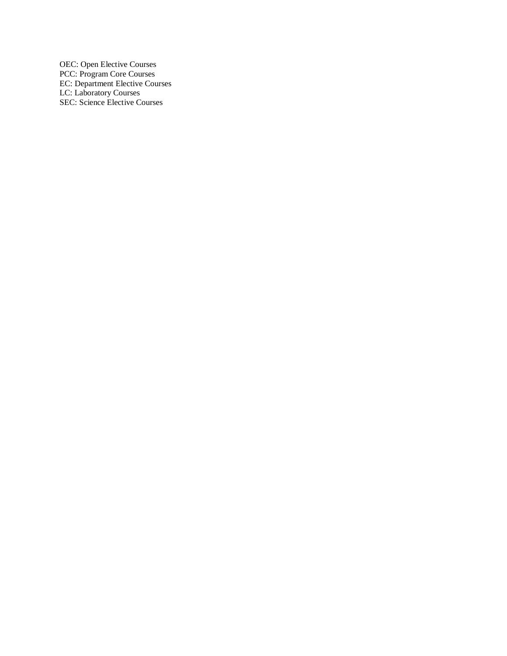OEC: Open Elective Courses PCC: Program Core Courses EC: Department Elective Courses LC: Laboratory Courses SEC: Science Elective Courses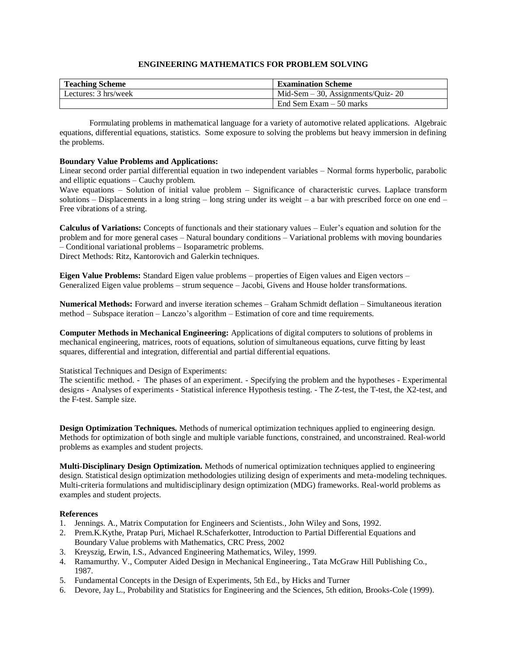# **ENGINEERING MATHEMATICS FOR PROBLEM SOLVING**

| <b>Teaching Scheme</b> | <b>Examination Scheme</b>               |
|------------------------|-----------------------------------------|
| Lectures: 3 hrs/week   | $Mid$ -Sem $-30$ , Assignments/Ouiz- 20 |
|                        | End Sem Exam $-50$ marks                |

Formulating problems in mathematical language for a variety of automotive related applications. Algebraic equations, differential equations, statistics. Some exposure to solving the problems but heavy immersion in defining the problems.

# **Boundary Value Problems and Applications:**

Linear second order partial differential equation in two independent variables – Normal forms hyperbolic, parabolic and elliptic equations – Cauchy problem.

Wave equations – Solution of initial value problem – Significance of characteristic curves. Laplace transform solutions – Displacements in a long string – long string under its weight – a bar with prescribed force on one end – Free vibrations of a string.

**Calculus of Variations:** Concepts of functionals and their stationary values – Euler's equation and solution for the problem and for more general cases – Natural boundary conditions – Variational problems with moving boundaries – Conditional variational problems – Isoparametric problems. Direct Methods: Ritz, Kantorovich and Galerkin techniques.

**Eigen Value Problems:** Standard Eigen value problems – properties of Eigen values and Eigen vectors – Generalized Eigen value problems – strum sequence – Jacobi, Givens and House holder transformations.

**Numerical Methods:** Forward and inverse iteration schemes – Graham Schmidt deflation – Simultaneous iteration method – Subspace iteration – Lanczo's algorithm – Estimation of core and time requirements.

**Computer Methods in Mechanical Engineering:** Applications of digital computers to solutions of problems in mechanical engineering, matrices, roots of equations, solution of simultaneous equations, curve fitting by least squares, differential and integration, differential and partial differential equations.

# Statistical Techniques and Design of Experiments:

The scientific method. - The phases of an experiment. - Specifying the problem and the hypotheses - Experimental designs - Analyses of experiments - Statistical inference Hypothesis testing. - The Z-test, the T-test, the X2-test, and the F-test. Sample size.

**Design Optimization Techniques.** Methods of numerical optimization techniques applied to engineering design. Methods for optimization of both single and multiple variable functions, constrained, and unconstrained. Real-world problems as examples and student projects.

**Multi-Disciplinary Design Optimization.** Methods of numerical optimization techniques applied to engineering design. Statistical design optimization methodologies utilizing design of experiments and meta-modeling techniques. Multi-criteria formulations and multidisciplinary design optimization (MDG) frameworks. Real-world problems as examples and student projects.

# **References**

- 1. Jennings. A., Matrix Computation for Engineers and Scientists., John Wiley and Sons, 1992.
- 2. Prem.K.Kythe, Pratap Puri, Michael R.Schaferkotter, Introduction to Partial Differential Equations and Boundary Value problems with Mathematics, CRC Press, 2002
- 3. Kreyszig, Erwin, I.S., Advanced Engineering Mathematics, Wiley, 1999.
- 4. Ramamurthy. V., Computer Aided Design in Mechanical Engineering., Tata McGraw Hill Publishing Co., 1987.
- 5. Fundamental Concepts in the Design of Experiments, 5th Ed., by Hicks and Turner
- 6. Devore, Jay L., Probability and Statistics for Engineering and the Sciences, 5th edition, Brooks-Cole (1999).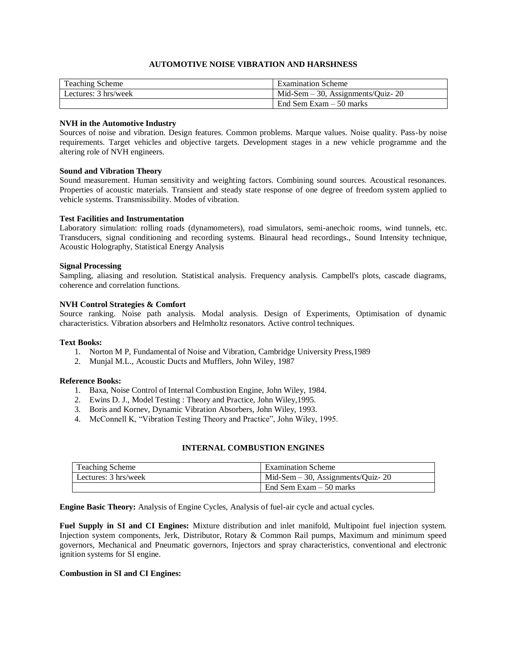# **AUTOMOTIVE NOISE VIBRATION AND HARSHNESS**

| <b>Teaching Scheme</b> | <b>Examination Scheme</b>            |
|------------------------|--------------------------------------|
| Lectures: 3 hrs/week   | Mid-Sem $-30$ , Assignments/Ouiz- 20 |
|                        | End Sem Exam $-50$ marks             |

# **NVH in the Automotive Industry**

Sources of noise and vibration. Design features. Common problems. Marque values. Noise quality. Pass-by noise requirements. Target vehicles and objective targets. Development stages in a new vehicle programme and the altering role of NVH engineers.

# **Sound and Vibration Theory**

Sound measurement. Human sensitivity and weighting factors. Combining sound sources. Acoustical resonances. Properties of acoustic materials. Transient and steady state response of one degree of freedom system applied to vehicle systems. Transmissibility. Modes of vibration.

# **Test Facilities and Instrumentation**

Laboratory simulation: rolling roads (dynamometers), road simulators, semi-anechoic rooms, wind tunnels, etc. Transducers, signal conditioning and recording systems. Binaural head recordings., Sound Intensity technique, Acoustic Holography, Statistical Energy Analysis

# **Signal Processing**

Sampling, aliasing and resolution. Statistical analysis. Frequency analysis. Campbell's plots, cascade diagrams, coherence and correlation functions.

# **NVH Control Strategies & Comfort**

Source ranking. Noise path analysis. Modal analysis. Design of Experiments, Optimisation of dynamic characteristics. Vibration absorbers and Helmholtz resonators. Active control techniques.

# **Text Books:**

- 1. Norton M P, Fundamental of Noise and Vibration, Cambridge University Press,1989
- 2. Munjal M.L., Acoustic Ducts and Mufflers, John Wiley, 1987

# **Reference Books:**

- 1. Baxa, Noise Control of Internal Combustion Engine, John Wiley, 1984.
- 2. Ewins D. J., Model Testing : Theory and Practice, John Wiley,1995.
- 3. Boris and Kornev, Dynamic Vibration Absorbers, John Wiley, 1993.
- 4. McConnell K, "Vibration Testing Theory and Practice", John Wiley, 1995.

# **INTERNAL COMBUSTION ENGINES**

| Teaching Scheme      | <b>Examination Scheme</b>            |
|----------------------|--------------------------------------|
| Lectures: 3 hrs/week | Mid-Sem $-30$ , Assignments/Quiz- 20 |
|                      | End Sem Exam $-50$ marks             |

**Engine Basic Theory:** Analysis of Engine Cycles, Analysis of fuel-air cycle and actual cycles.

**Fuel Supply in SI and CI Engines:** Mixture distribution and inlet manifold, Multipoint fuel injection system. Injection system components, Jerk, Distributor, Rotary & Common Rail pumps, Maximum and minimum speed governors, Mechanical and Pneumatic governors, Injectors and spray characteristics, conventional and electronic ignition systems for SI engine.

# **Combustion in SI and CI Engines:**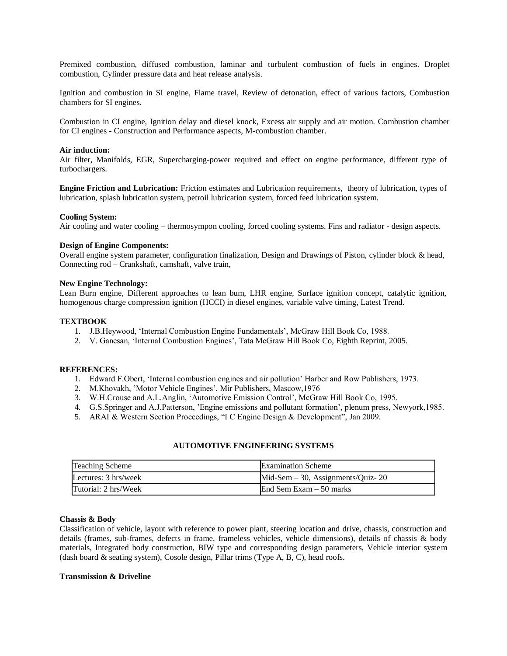Premixed combustion, diffused combustion, laminar and turbulent combustion of fuels in engines. Droplet combustion, Cylinder pressure data and heat release analysis.

Ignition and combustion in SI engine, Flame travel, Review of detonation, effect of various factors, Combustion chambers for SI engines.

Combustion in CI engine, Ignition delay and diesel knock, Excess air supply and air motion. Combustion chamber for CI engines - Construction and Performance aspects, M-combustion chamber.

#### **Air induction:**

Air filter, Manifolds, EGR, Supercharging-power required and effect on engine performance, different type of turbochargers.

**Engine Friction and Lubrication:** Friction estimates and Lubrication requirements, theory of lubrication, types of lubrication, splash lubrication system, petroil lubrication system, forced feed lubrication system.

#### **Cooling System:**

Air cooling and water cooling – thermosympon cooling, forced cooling systems. Fins and radiator - design aspects.

# **Design of Engine Components:**

Overall engine system parameter, configuration finalization, Design and Drawings of Piston, cylinder block & head, Connecting rod – Crankshaft, camshaft, valve train,

#### **New Engine Technology:**

Lean Burn engine, Different approaches to lean bum, LHR engine, Surface ignition concept, catalytic ignition, homogenous charge compression ignition (HCCI) in diesel engines, variable valve timing, Latest Trend.

# **TEXTBOOK**

- 1. J.B.Heywood, 'Internal Combustion Engine Fundamentals', McGraw Hill Book Co, 1988.
- 2. V. Ganesan, 'Internal Combustion Engines', Tata McGraw Hill Book Co, Eighth Reprint, 2005.

#### **REFERENCES:**

- 1. Edward F.Obert, 'Internal combustion engines and air pollution' Harber and Row Publishers, 1973.
- 2. M.Khovakh, 'Motor Vehicle Engines', Mir Publishers, Mascow,1976
- 3. W.H.Crouse and A.L.Anglin, 'Automotive Emission Control', McGraw Hill Book Co, 1995.
- 4. G.S.Springer and A.J.Patterson, 'Engine emissions and pollutant formation', plenum press, Newyork,1985.
- 5. ARAI & Western Section Proceedings, "I C Engine Design & Development", Jan 2009.

# **AUTOMOTIVE ENGINEERING SYSTEMS**

| <b>Teaching Scheme</b> | <b>Examination Scheme</b>            |
|------------------------|--------------------------------------|
| Lectures: 3 hrs/week   | Mid-Sem $-30$ , Assignments/Quiz- 20 |
| Tutorial: 2 hrs/Week   | End Sem Exam $-50$ marks             |

#### **Chassis & Body**

Classification of vehicle, layout with reference to power plant, steering location and drive, chassis, construction and details (frames, sub-frames, defects in frame, frameless vehicles, vehicle dimensions), details of chassis & body materials, Integrated body construction, BIW type and corresponding design parameters, Vehicle interior system (dash board & seating system), Cosole design, Pillar trims (Type A, B, C), head roofs.

#### **Transmission & Driveline**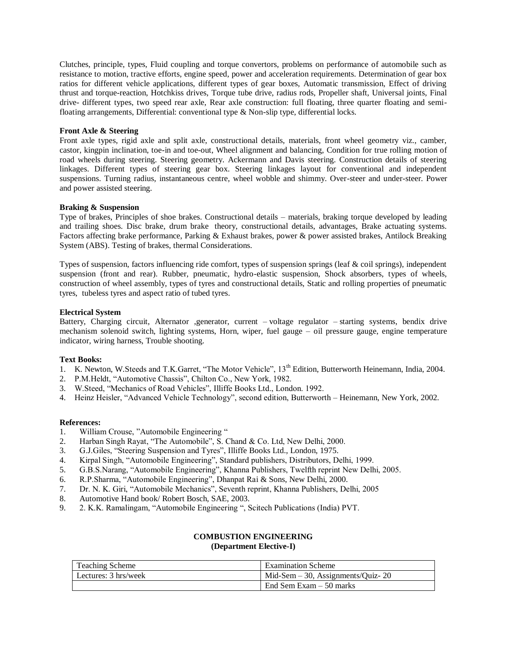Clutches, principle, types, Fluid coupling and torque convertors, problems on performance of automobile such as resistance to motion, tractive efforts, engine speed, power and acceleration requirements. Determination of gear box ratios for different vehicle applications, different types of gear boxes, Automatic transmission, Effect of driving thrust and torque-reaction, Hotchkiss drives, Torque tube drive, radius rods, Propeller shaft, Universal joints, Final drive- different types, two speed rear axle, Rear axle construction: full floating, three quarter floating and semifloating arrangements, Differential: conventional type & Non-slip type, differential locks.

# **Front Axle & Steering**

Front axle types, rigid axle and split axle, constructional details, materials, front wheel geometry viz., camber, castor, kingpin inclination, toe-in and toe-out, Wheel alignment and balancing, Condition for true rolling motion of road wheels during steering. Steering geometry. Ackermann and Davis steering. Construction details of steering linkages. Different types of steering gear box. Steering linkages layout for conventional and independent suspensions. Turning radius, instantaneous centre, wheel wobble and shimmy. Over-steer and under-steer. Power and power assisted steering.

# **Braking & Suspension**

Type of brakes, Principles of shoe brakes. Constructional details – materials, braking torque developed by leading and trailing shoes. Disc brake, drum brake theory, constructional details, advantages, Brake actuating systems. Factors affecting brake performance, Parking & Exhaust brakes, power & power assisted brakes, Antilock Breaking System (ABS). Testing of brakes, thermal Considerations.

Types of suspension, factors influencing ride comfort, types of suspension springs (leaf & coil springs), independent suspension (front and rear). Rubber, pneumatic, hydro-elastic suspension, Shock absorbers, types of wheels, construction of wheel assembly, types of tyres and constructional details, Static and rolling properties of pneumatic tyres, tubeless tyres and aspect ratio of tubed tyres.

# **Electrical System**

Battery, Charging circuit, Alternator ,generator, current – voltage regulator – starting systems, bendix drive mechanism solenoid switch, lighting systems, Horn, wiper, fuel gauge – oil pressure gauge, engine temperature indicator, wiring harness, Trouble shooting.

# **Text Books:**

- 1. K. Newton, W. Steeds and T.K. Garret, "The Motor Vehicle", 13<sup>th</sup> Edition, Butterworth Heinemann, India, 2004.
- 2. P.M.Heldt, "Automotive Chassis", Chilton Co., New York, 1982.
- 3. W.Steed, "Mechanics of Road Vehicles", Illiffe Books Ltd., London. 1992.
- 4. Heinz Heisler, "Advanced Vehicle Technology", second edition, Butterworth Heinemann, New York, 2002.

# **References:**

- 1. William Crouse, "Automobile Engineering "
- 2. Harban Singh Rayat, "The Automobile", S. Chand & Co. Ltd, New Delhi, 2000.
- 3. G.J.Giles, "Steering Suspension and Tyres", Illiffe Books Ltd., London, 1975.
- 4. Kirpal Singh, "Automobile Engineering", Standard publishers, Distributors, Delhi, 1999.
- 5. G.B.S.Narang, "Automobile Engineering", Khanna Publishers, Twelfth reprint New Delhi, 2005.
- 6. R.P.Sharma, "Automobile Engineering", Dhanpat Rai & Sons, New Delhi, 2000.
- 7. Dr. N. K. Giri, "Automobile Mechanics", Seventh reprint, Khanna Publishers, Delhi, 2005
- 8. Automotive Hand book/ Robert Bosch, SAE, 2003.
- 9. 2. K.K. Ramalingam, "Automobile Engineering ", Scitech Publications (India) PVT.

# **COMBUSTION ENGINEERING (Department Elective-I)**

| <b>Teaching Scheme</b> | <b>Examination Scheme</b>            |
|------------------------|--------------------------------------|
| Lectures: 3 hrs/week   | Mid-Sem $-30$ , Assignments/Quiz- 20 |
|                        | End Sem Exam $-50$ marks             |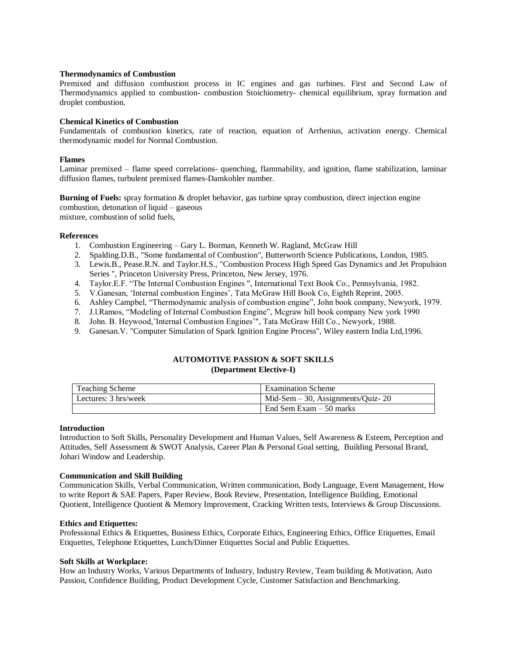# **Thermodynamics of Combustion**

Premixed and diffusion combustion process in IC engines and gas turbines. First and Second Law of Thermodynamics applied to combustion- combustion Stoichiometry- chemical equilibrium, spray formation and droplet combustion.

# **Chemical Kinetics of Combustion**

Fundamentals of combustion kinetics, rate of reaction, equation of Arrhenius, activation energy. Chemical thermodynamic model for Normal Combustion.

#### **Flames**

Laminar premixed – flame speed correlations- quenching, flammability, and ignition, flame stabilization, laminar diffusion flames, turbulent premixed flames-Damkohler number.

**Burning of Fuels:** spray formation & droplet behavior, gas turbine spray combustion, direct injection engine combustion, detonation of liquid – gaseous mixture, combustion of solid fuels,

#### **References**

- 1. Combustion Engineering Gary L. Borman, Kenneth W. Ragland, McGraw Hill
- 2. Spalding.D.B., "Some fundamental of Combustion", Butterworth Science Publications, London, 1985.
- 3. Lewis.B., Pease.R.N. and Taylor.H.S., "Combustion Process High Speed Gas Dynamics and Jet Propulsion Series ", Princeton University Press, Princeton, New Jersey, 1976.
- 4. Taylor.E.F. "The Internal Combustion Engines ", International Text Book Co., Pennsylvania, 1982.
- 5. V.Ganesan, 'Internal combustion Engines', Tata McGraw Hill Book Co, Eighth Reprint, 2005.
- 6. Ashley Campbel, "Thermodynamic analysis of combustion engine", John book company, Newyork, 1979.
- 7. J.l.Ramos, "Modeling of Internal Combustion Engine", Mcgraw hill book company New york 1990
- 8. John. B. Heywood,'Internal Combustion Engines'", Tata McGraw Hill Co., Newyork, 1988.
- 9. Ganesan.V. "Computer Simulation of Spark Ignition Engine Process", Wiley eastern India Ltd,1996.

# **AUTOMOTIVE PASSION & SOFT SKILLS (Department Elective-I)**

| <b>Teaching Scheme</b> | <b>Examination Scheme</b>            |
|------------------------|--------------------------------------|
| Lectures: 3 hrs/week   | Mid-Sem $-30$ , Assignments/Quiz- 20 |
|                        | End Sem Exam $-50$ marks             |

#### **Introduction**

Introduction to Soft Skills, Personality Development and Human Values, Self Awareness & Esteem, Perception and Attitudes, Self Assessment & SWOT Analysis, Career Plan & Personal Goal setting, Building Personal Brand, Johari Window and Leadership.

# **Communication and Skill Building**

Communication Skills, Verbal Communication, Written communication, Body Language, Event Management, How to write Report & SAE Papers, Paper Review, Book Review, Presentation, Intelligence Building, Emotional Quotient, Intelligence Quotient & Memory Improvement, Cracking Written tests, Interviews & Group Discussions.

# **Ethics and Etiquettes:**

Professional Ethics & Etiquettes, Business Ethics, Corporate Ethics, Engineering Ethics, Office Etiquettes, Email Etiquettes, Telephone Etiquettes, Lunch/Dinner Etiquettes Social and Public Etiquettes.

#### **Soft Skills at Workplace:**

How an Industry Works, Various Departments of Industry, Industry Review, Team building & Motivation, Auto Passion, Confidence Building, Product Development Cycle, Customer Satisfaction and Benchmarking.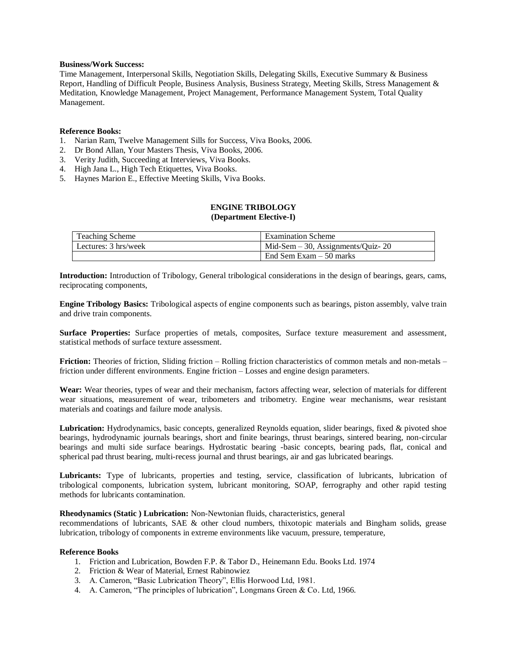# **Business/Work Success:**

Time Management, Interpersonal Skills, Negotiation Skills, Delegating Skills, Executive Summary & Business Report, Handling of Difficult People, Business Analysis, Business Strategy, Meeting Skills, Stress Management & Meditation, Knowledge Management, Project Management, Performance Management System, Total Quality Management.

# **Reference Books:**

- 1. Narian Ram, Twelve Management Sills for Success, Viva Books, 2006.
- 2. Dr Bond Allan, Your Masters Thesis, Viva Books, 2006.
- 3. Verity Judith, Succeeding at Interviews, Viva Books.
- 4. High Jana L., High Tech Etiquettes, Viva Books.
- 5. Haynes Marion E., Effective Meeting Skills, Viva Books.

# **ENGINE TRIBOLOGY (Department Elective-I)**

| <b>Teaching Scheme</b> | <b>Examination Scheme</b>            |
|------------------------|--------------------------------------|
| Lectures: 3 hrs/week   | Mid-Sem $-30$ , Assignments/Quiz- 20 |
|                        | End Sem Exam $-50$ marks             |

**Introduction:** Introduction of Tribology, General tribological considerations in the design of bearings, gears, cams, reciprocating components,

**Engine Tribology Basics:** Tribological aspects of engine components such as bearings, piston assembly, valve train and drive train components.

**Surface Properties:** Surface properties of metals, composites, Surface texture measurement and assessment, statistical methods of surface texture assessment.

**Friction:** Theories of friction, Sliding friction – Rolling friction characteristics of common metals and non-metals – friction under different environments. Engine friction – Losses and engine design parameters.

**Wear:** Wear theories, types of wear and their mechanism, factors affecting wear, selection of materials for different wear situations, measurement of wear, tribometers and tribometry. Engine wear mechanisms, wear resistant materials and coatings and failure mode analysis.

**Lubrication:** Hydrodynamics, basic concepts, generalized Reynolds equation, slider bearings, fixed & pivoted shoe bearings, hydrodynamic journals bearings, short and finite bearings, thrust bearings, sintered bearing, non-circular bearings and multi side surface bearings. Hydrostatic bearing -basic concepts, bearing pads, flat, conical and spherical pad thrust bearing, multi-recess journal and thrust bearings, air and gas lubricated bearings.

**Lubricants:** Type of lubricants, properties and testing, service, classification of lubricants, lubrication of tribological components, lubrication system, lubricant monitoring, SOAP, ferrography and other rapid testing methods for lubricants contamination.

# **Rheodynamics (Static ) Lubrication:** Non-Newtonian fluids, characteristics, general

recommendations of lubricants, SAE & other cloud numbers, thixotopic materials and Bingham solids, grease lubrication, tribology of components in extreme environments like vacuum, pressure, temperature,

# **Reference Books**

- 1. Friction and Lubrication, Bowden F.P. & Tabor D., Heinemann Edu. Books Ltd. 1974
- 2. Friction & Wear of Material, Ernest Rabinowiez
- 3. A. Cameron, "Basic Lubrication Theory", Ellis Horwood Ltd, 1981.
- 4. A. Cameron, "The principles of lubrication", Longmans Green & Co. Ltd, 1966.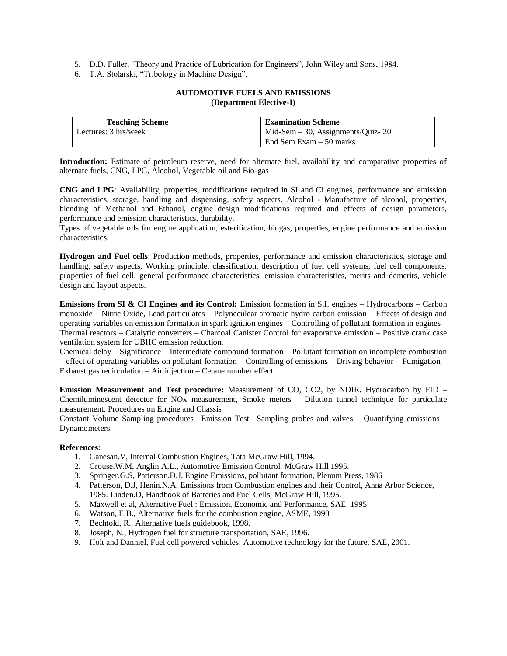- 5. D.D. Fuller, "Theory and Practice of Lubrication for Engineers", John Wiley and Sons, 1984.
- 6. T.A. Stolarski, "Tribology in Machine Design".

# **AUTOMOTIVE FUELS AND EMISSIONS (Department Elective-I)**

| <b>Teaching Scheme</b> | <b>Examination Scheme</b>            |
|------------------------|--------------------------------------|
| Lectures: 3 hrs/week   | Mid-Sem $-30$ , Assignments/Quiz- 20 |
|                        | End Sem Exam $-50$ marks             |

**Introduction:** Estimate of petroleum reserve, need for alternate fuel, availability and comparative properties of alternate fuels, CNG, LPG, Alcohol, Vegetable oil and Bio-gas

**CNG and LPG**: Availability, properties, modifications required in SI and CI engines, performance and emission characteristics, storage, handling and dispensing, safety aspects. Alcohol - Manufacture of alcohol, properties, blending of Methanol and Ethanol, engine design modifications required and effects of design parameters, performance and emission characteristics, durability.

Types of vegetable oils for engine application, esterification, biogas, properties, engine performance and emission characteristics.

**Hydrogen and Fuel cells**: Production methods, properties, performance and emission characteristics, storage and handling, safety aspects, Working principle, classification, description of fuel cell systems, fuel cell components, properties of fuel cell, general performance characteristics, emission characteristics, merits and demerits, vehicle design and layout aspects.

**Emissions from SI & CI Engines and its Control:** Emission formation in S.I. engines – Hydrocarbons – Carbon monoxide – Nitric Oxide, Lead particulates – Polyneculear aromatic hydro carbon emission – Effects of design and operating variables on emission formation in spark ignition engines – Controlling of pollutant formation in engines – Thermal reactors – Catalytic converters – Charcoal Canister Control for evaporative emission – Positive crank case ventilation system for UBHC emission reduction.

Chemical delay – Significance – Intermediate compound formation – Pollutant formation on incomplete combustion – effect of operating variables on pollutant formation – Controlling of emissions – Driving behavior – Fumigation – Exhaust gas recirculation – Air injection – Cetane number effect.

**Emission Measurement and Test procedure:** Measurement of CO, CO2, by NDIR. Hydrocarbon by FID – Chemiluminescent detector for NOx measurement, Smoke meters – Dilution tunnel technique for particulate measurement. Procedures on Engine and Chassis

Constant Volume Sampling procedures –Emission Test– Sampling probes and valves – Quantifying emissions – Dynamometers.

# **References:**

- 1. Ganesan.V, Internal Combustion Engines, Tata McGraw Hill, 1994.
- 2. Crouse.W.M, Anglin.A.L., Automotive Emission Control, McGraw Hill 1995.
- 3. Springer.G.S, Patterson.D.J, Engine Emissions, pollutant formation, Plenum Press, 1986
- 4. Patterson, D.J, Henin.N.A, Emissions from Combustion engines and their Control, Anna Arbor Science, 1985. Linden.D, Handbook of Batteries and Fuel Cells, McGraw Hill, 1995.
- 5. Maxwell et al, Alternative Fuel : Emission, Economic and Performance, SAE, 1995
- 6. Watson, E.B., Alternative fuels for the combustion engine, ASME, 1990
- 7. Bechtold, R., Alternative fuels guidebook, 1998.
- 8. Joseph, N., Hydrogen fuel for structure transportation, SAE, 1996.
- 9. Holt and Danniel, Fuel cell powered vehicles: Automotive technology for the future, SAE, 2001.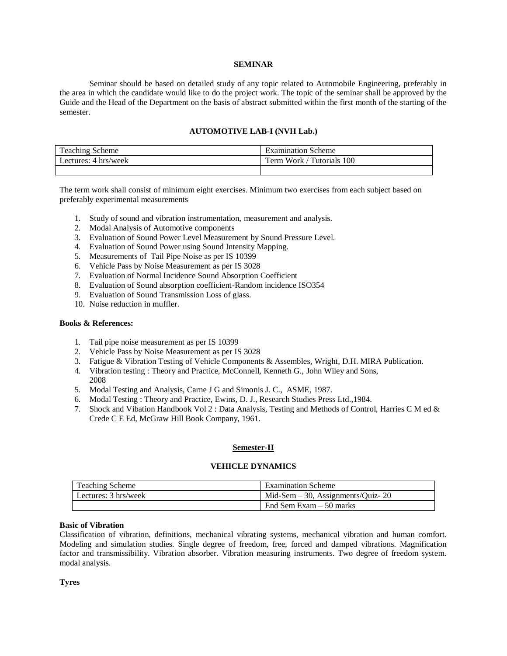# **SEMINAR**

Seminar should be based on detailed study of any topic related to Automobile Engineering, preferably in the area in which the candidate would like to do the project work. The topic of the seminar shall be approved by the Guide and the Head of the Department on the basis of abstract submitted within the first month of the starting of the semester.

# **AUTOMOTIVE LAB-I (NVH Lab.)**

| l'eaching Scheme     | Examination Scheme           |
|----------------------|------------------------------|
| Lectures: 4 hrs/week | Tutorials 100<br>Term Work / |
|                      |                              |

The term work shall consist of minimum eight exercises. Minimum two exercises from each subject based on preferably experimental measurements

- 1. Study of sound and vibration instrumentation, measurement and analysis.
- 2. Modal Analysis of Automotive components
- 3. Evaluation of Sound Power Level Measurement by Sound Pressure Level.
- 4. Evaluation of Sound Power using Sound Intensity Mapping.
- 5. Measurements of Tail Pipe Noise as per IS 10399
- 6. Vehicle Pass by Noise Measurement as per IS 3028
- 7. Evaluation of Normal Incidence Sound Absorption Coefficient
- 8. Evaluation of Sound absorption coefficient-Random incidence ISO354
- 9. Evaluation of Sound Transmission Loss of glass.
- 10. Noise reduction in muffler.

# **Books & References:**

- 1. Tail pipe noise measurement as per IS 10399
- 2. Vehicle Pass by Noise Measurement as per IS 3028
- 3. Fatigue & Vibration Testing of Vehicle Components & Assembles, Wright, D.H. MIRA Publication.
- 4. Vibration testing : Theory and Practice, McConnell, Kenneth G., John Wiley and Sons, 2008
- 5. Modal Testing and Analysis, Carne J G and Simonis J. C., ASME, 1987.
- 6. Modal Testing : Theory and Practice, Ewins, D. J., Research Studies Press Ltd.,1984.
- 7. Shock and Vibation Handbook Vol 2 : Data Analysis, Testing and Methods of Control, Harries C M ed & Crede C E Ed, McGraw Hill Book Company, 1961.

#### **Semester-II**

#### **VEHICLE DYNAMICS**

| <b>Teaching Scheme</b> | <b>Examination Scheme</b>               |
|------------------------|-----------------------------------------|
| Lectures: 3 hrs/week   | $Mid$ -Sem $-30$ , Assignments/Quiz- 20 |
|                        | End Sem Exam $-50$ marks                |

#### **Basic of Vibration**

Classification of vibration, definitions, mechanical vibrating systems, mechanical vibration and human comfort. Modeling and simulation studies. Single degree of freedom, free, forced and damped vibrations. Magnification factor and transmissibility. Vibration absorber. Vibration measuring instruments. Two degree of freedom system. modal analysis.

**Tyres**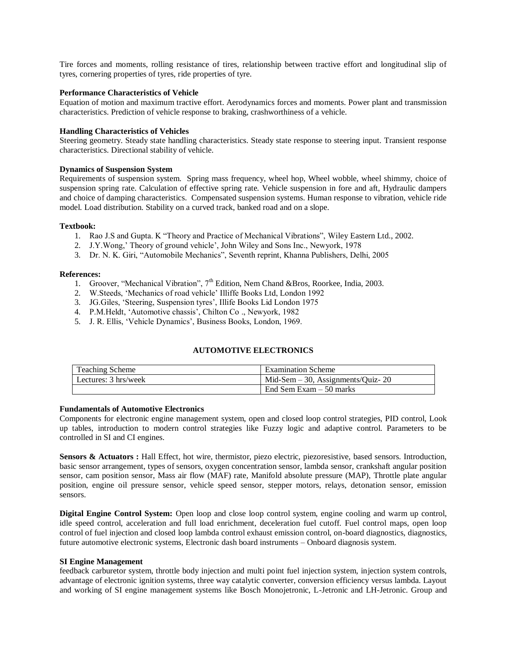Tire forces and moments, rolling resistance of tires, relationship between tractive effort and longitudinal slip of tyres, cornering properties of tyres, ride properties of tyre.

# **Performance Characteristics of Vehicle**

Equation of motion and maximum tractive effort. Aerodynamics forces and moments. Power plant and transmission characteristics. Prediction of vehicle response to braking, crashworthiness of a vehicle.

# **Handling Characteristics of Vehicles**

Steering geometry. Steady state handling characteristics. Steady state response to steering input. Transient response characteristics. Directional stability of vehicle.

# **Dynamics of Suspension System**

Requirements of suspension system. Spring mass frequency, wheel hop, Wheel wobble, wheel shimmy, choice of suspension spring rate. Calculation of effective spring rate. Vehicle suspension in fore and aft, Hydraulic dampers and choice of damping characteristics. Compensated suspension systems. Human response to vibration, vehicle ride model. Load distribution. Stability on a curved track, banked road and on a slope.

# **Textbook:**

- 1. Rao J.S and Gupta. K "Theory and Practice of Mechanical Vibrations", Wiley Eastern Ltd., 2002.
- 2. J.Y.Wong,' Theory of ground vehicle', John Wiley and Sons Inc., Newyork, 1978
- 3. Dr. N. K. Giri, "Automobile Mechanics", Seventh reprint, Khanna Publishers, Delhi, 2005

# **References:**

- 1. Groover, "Mechanical Vibration", 7<sup>th</sup> Edition, Nem Chand &Bros, Roorkee, India, 2003.
- 2. W.Steeds, 'Mechanics of road vehicle' Illiffe Books Ltd, London 1992
- 3. JG.Giles, 'Steering, Suspension tyres', Illife Books Lid London 1975
- 4. P.M.Heldt, 'Automotive chassis', Chilton Co ., Newyork, 1982
- 5. J. R. Ellis, 'Vehicle Dynamics', Business Books, London, 1969.

# **AUTOMOTIVE ELECTRONICS**

| <b>Teaching Scheme</b> | <b>Examination Scheme</b>            |
|------------------------|--------------------------------------|
| Lectures: 3 hrs/week   | Mid-Sem $-30$ , Assignments/Ouiz- 20 |
|                        | End Sem Exam $-50$ marks             |

# **Fundamentals of Automotive Electronics**

Components for electronic engine management system, open and closed loop control strategies, PID control, Look up tables, introduction to modern control strategies like Fuzzy logic and adaptive control. Parameters to be controlled in SI and CI engines.

**Sensors & Actuators :** Hall Effect, hot wire, thermistor, piezo electric, piezoresistive, based sensors. Introduction, basic sensor arrangement, types of sensors, oxygen concentration sensor, lambda sensor, crankshaft angular position sensor, cam position sensor, Mass air flow (MAF) rate, Manifold absolute pressure (MAP), Throttle plate angular position, engine oil pressure sensor, vehicle speed sensor, stepper motors, relays, detonation sensor, emission sensors.

**Digital Engine Control System:** Open loop and close loop control system, engine cooling and warm up control, idle speed control, acceleration and full load enrichment, deceleration fuel cutoff. Fuel control maps, open loop control of fuel injection and closed loop lambda control exhaust emission control, on-board diagnostics, diagnostics, future automotive electronic systems, Electronic dash board instruments – Onboard diagnosis system.

# **SI Engine Management**

feedback carburetor system, throttle body injection and multi point fuel injection system, injection system controls, advantage of electronic ignition systems, three way catalytic converter, conversion efficiency versus lambda. Layout and working of SI engine management systems like Bosch Monojetronic, L-Jetronic and LH-Jetronic. Group and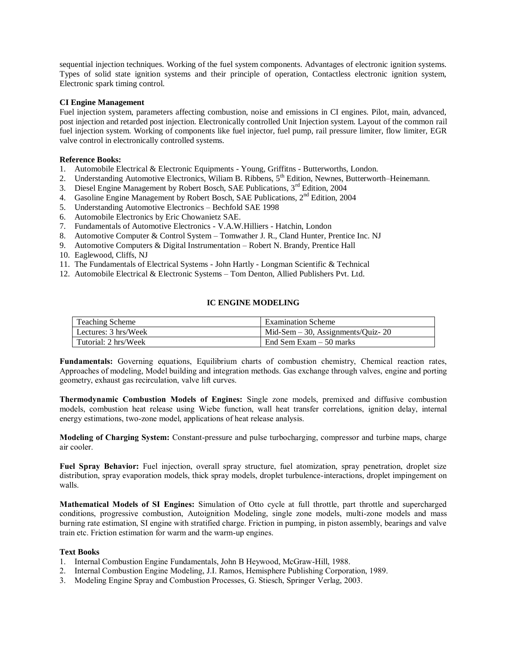sequential injection techniques. Working of the fuel system components. Advantages of electronic ignition systems. Types of solid state ignition systems and their principle of operation, Contactless electronic ignition system, Electronic spark timing control.

# **CI Engine Management**

Fuel injection system, parameters affecting combustion, noise and emissions in CI engines. Pilot, main, advanced, post injection and retarded post injection. Electronically controlled Unit Injection system. Layout of the common rail fuel injection system. Working of components like fuel injector, fuel pump, rail pressure limiter, flow limiter, EGR valve control in electronically controlled systems.

# **Reference Books:**

- 1. Automobile Electrical & Electronic Equipments Young, Griffitns Butterworths, London.
- 2. Understanding Automotive Electronics, Wiliam B. Ribbens, 5<sup>th</sup> Edition, Newnes, Butterworth–Heinemann.
- 3. Diesel Engine Management by Robert Bosch, SAE Publications, 3<sup>rd</sup> Edition, 2004
- 4. Gasoline Engine Management by Robert Bosch, SAE Publications, 2nd Edition, 2004
- 5. Understanding Automotive Electronics Bechfold SAE 1998
- 6. Automobile Electronics by Eric Chowanietz SAE.
- 7. Fundamentals of Automotive Electronics V.A.W.Hilliers Hatchin, London
- 8. Automotive Computer & Control System Tomwather J. R., Cland Hunter, Prentice Inc. NJ
- 9. Automotive Computers & Digital Instrumentation Robert N. Brandy, Prentice Hall
- 10. Eaglewood, Cliffs, NJ
- 11. The Fundamentals of Electrical Systems John Hartly Longman Scientific & Technical
- 12. Automobile Electrical & Electronic Systems Tom Denton, Allied Publishers Pvt. Ltd.

# **IC ENGINE MODELING**

| Teaching Scheme      | <b>Examination Scheme</b>            |
|----------------------|--------------------------------------|
| Lectures: 3 hrs/Week | Mid-Sem $-30$ , Assignments/Quiz- 20 |
| Tutorial: 2 hrs/Week | End Sem Exam – 50 marks              |

**Fundamentals:** Governing equations, Equilibrium charts of combustion chemistry, Chemical reaction rates, Approaches of modeling, Model building and integration methods. Gas exchange through valves, engine and porting geometry, exhaust gas recirculation, valve lift curves.

**Thermodynamic Combustion Models of Engines:** Single zone models, premixed and diffusive combustion models, combustion heat release using Wiebe function, wall heat transfer correlations, ignition delay, internal energy estimations, two-zone model, applications of heat release analysis.

**Modeling of Charging System:** Constant-pressure and pulse turbocharging, compressor and turbine maps, charge air cooler.

**Fuel Spray Behavior:** Fuel injection, overall spray structure, fuel atomization, spray penetration, droplet size distribution, spray evaporation models, thick spray models, droplet turbulence-interactions, droplet impingement on walls.

**Mathematical Models of SI Engines:** Simulation of Otto cycle at full throttle, part throttle and supercharged conditions, progressive combustion, Autoignition Modeling, single zone models, multi-zone models and mass burning rate estimation, SI engine with stratified charge. Friction in pumping, in piston assembly, bearings and valve train etc. Friction estimation for warm and the warm-up engines.

# **Text Books**

- 1. Internal Combustion Engine Fundamentals, John B Heywood, McGraw-Hill, 1988.
- 2. Internal Combustion Engine Modeling, J.I. Ramos, Hemisphere Publishing Corporation, 1989.
- 3. Modeling Engine Spray and Combustion Processes, G. Stiesch, Springer Verlag, 2003.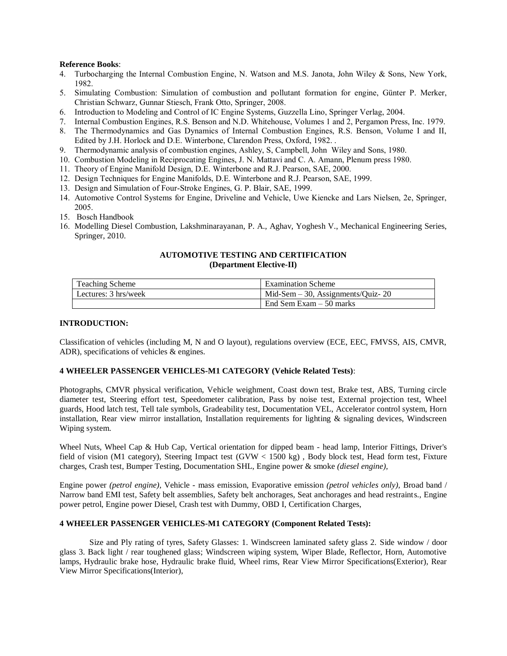# **Reference Books**:

- 4. Turbocharging the Internal Combustion Engine, N. Watson and M.S. Janota, John Wiley & Sons, New York, 1982.
- 5. Simulating Combustion: Simulation of combustion and pollutant formation for engine, Günter P. Merker, Christian Schwarz, Gunnar Stiesch, Frank Otto, Springer, 2008.
- 6. Introduction to Modeling and Control of IC Engine Systems, Guzzella Lino, Springer Verlag, 2004.
- 7. Internal Combustion Engines, R.S. Benson and N.D. Whitehouse, Volumes 1 and 2, Pergamon Press, Inc. 1979.
- 8. The Thermodynamics and Gas Dynamics of Internal Combustion Engines, R.S. Benson, Volume I and II, Edited by J.H. Horlock and D.E. Winterbone, Clarendon Press, Oxford, 1982. .
- 9. Thermodynamic analysis of combustion engines, Ashley, S, Campbell, John Wiley and Sons, 1980.
- 10. Combustion Modeling in Reciprocating Engines, J. N. Mattavi and C. A. Amann, Plenum press 1980.
- 11. Theory of Engine Manifold Design, D.E. Winterbone and R.J. Pearson, SAE, 2000.
- 12. Design Techniques for Engine Manifolds, D.E. Winterbone and R.J. Pearson, SAE, 1999.
- 13. Design and Simulation of Four-Stroke Engines, G. P. Blair, SAE, 1999.
- 14. Automotive Control Systems for Engine, Driveline and Vehicle, Uwe Kiencke and Lars Nielsen, 2e, Springer, 2005.
- 15. Bosch Handbook
- 16. Modelling Diesel Combustion, Lakshminarayanan, P. A., Aghav, Yoghesh V., Mechanical Engineering Series, Springer, 2010.

# **AUTOMOTIVE TESTING AND CERTIFICATION (Department Elective-II)**

| Teaching Scheme      | <b>Examination Scheme</b>            |
|----------------------|--------------------------------------|
| Lectures: 3 hrs/week | Mid-Sem $-30$ , Assignments/Quiz- 20 |
|                      | End Sem Exam – 50 marks              |

# **INTRODUCTION:**

Classification of vehicles (including M, N and O layout), regulations overview (ECE, EEC, FMVSS, AIS, CMVR, ADR), specifications of vehicles & engines.

# **4 WHEELER PASSENGER VEHICLES-M1 CATEGORY (Vehicle Related Tests)**:

Photographs, CMVR physical verification, Vehicle weighment, Coast down test, Brake test, ABS, Turning circle diameter test, Steering effort test, Speedometer calibration, Pass by noise test, External projection test, Wheel guards, Hood latch test, Tell tale symbols, Gradeability test, Documentation VEL, Accelerator control system, Horn installation, Rear view mirror installation, Installation requirements for lighting & signaling devices, Windscreen Wiping system.

Wheel Nuts, Wheel Cap & Hub Cap, Vertical orientation for dipped beam - head lamp, Interior Fittings, Driver's field of vision (M1 category), Steering Impact test (GVW < 1500 kg) , Body block test, Head form test, Fixture charges, Crash test, Bumper Testing, Documentation SHL, Engine power & smoke *(diesel engine),* 

Engine power *(petrol engine),* Vehicle - mass emission, Evaporative emission *(petrol vehicles only),* Broad band / Narrow band EMI test, Safety belt assemblies, Safety belt anchorages, Seat anchorages and head restraints., Engine power petrol, Engine power Diesel, Crash test with Dummy, OBD I, Certification Charges,

# **4 WHEELER PASSENGER VEHICLES-M1 CATEGORY (Component Related Tests):**

Size and Ply rating of tyres, Safety Glasses: 1. Windscreen laminated safety glass 2. Side window / door glass 3. Back light / rear toughened glass; Windscreen wiping system, Wiper Blade, Reflector, Horn, Automotive lamps, Hydraulic brake hose, Hydraulic brake fluid, Wheel rims, Rear View Mirror Specifications(Exterior), Rear View Mirror Specifications(Interior),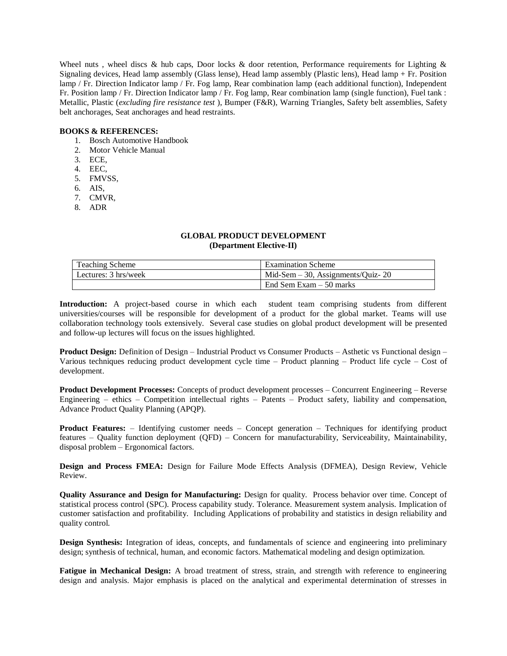Wheel nuts, wheel discs & hub caps, Door locks & door retention, Performance requirements for Lighting & Signaling devices, Head lamp assembly (Glass lense), Head lamp assembly (Plastic lens), Head lamp + Fr. Position lamp / Fr. Direction Indicator lamp / Fr. Fog lamp, Rear combination lamp (each additional function), Independent Fr. Position lamp / Fr. Direction Indicator lamp / Fr. Fog lamp, Rear combination lamp (single function), Fuel tank : Metallic, Plastic (*excluding fire resistance test* ), Bumper (F&R), Warning Triangles, Safety belt assemblies, Safety belt anchorages, Seat anchorages and head restraints.

# **BOOKS & REFERENCES:**

- 1. Bosch Automotive Handbook
- 2. Motor Vehicle Manual
- 3. ECE,
- 4. EEC,
- 5. FMVSS,
- 6. AIS,
- 7. CMVR,
- 8. ADR

# **GLOBAL PRODUCT DEVELOPMENT (Department Elective-II)**

| <b>Teaching Scheme</b> | <b>Examination Scheme</b>               |
|------------------------|-----------------------------------------|
| Lectures: 3 hrs/week   | $Mid$ -Sem $-30$ , Assignments/Ouiz- 20 |
|                        | End Sem Exam $-50$ marks                |

**Introduction:** A project-based course in which each student team comprising students from different universities/courses will be responsible for development of a product for the global market. Teams will use collaboration technology tools extensively. Several case studies on global product development will be presented and follow-up lectures will focus on the issues highlighted.

**Product Design:** Definition of Design – Industrial Product vs Consumer Products – Asthetic vs Functional design – Various techniques reducing product development cycle time – Product planning – Product life cycle – Cost of development.

**Product Development Processes:** Concepts of product development processes – Concurrent Engineering – Reverse Engineering – ethics – Competition intellectual rights – Patents – Product safety, liability and compensation, Advance Product Quality Planning (APQP).

**Product Features:** – Identifying customer needs – Concept generation – Techniques for identifying product features – Quality function deployment (QFD) – Concern for manufacturability, Serviceability, Maintainability, disposal problem – Ergonomical factors.

**Design and Process FMEA:** Design for Failure Mode Effects Analysis (DFMEA), Design Review, Vehicle Review.

**Quality Assurance and Design for Manufacturing:** Design for quality. Process behavior over time. Concept of statistical process control (SPC). Process capability study. Tolerance. Measurement system analysis. Implication of customer satisfaction and profitability. Including Applications of probability and statistics in design reliability and quality control.

**Design Synthesis:** Integration of ideas, concepts, and fundamentals of science and engineering into preliminary design; synthesis of technical, human, and economic factors. Mathematical modeling and design optimization.

**Fatigue in Mechanical Design:** A broad treatment of stress, strain, and strength with reference to engineering design and analysis. Major emphasis is placed on the analytical and experimental determination of stresses in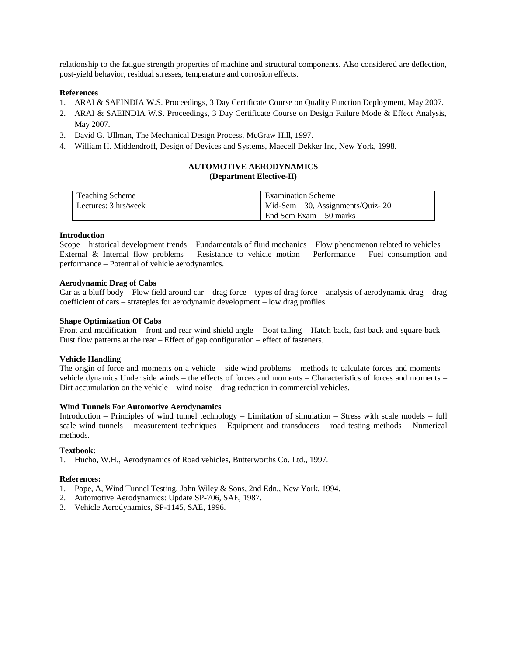relationship to the fatigue strength properties of machine and structural components. Also considered are deflection, post-yield behavior, residual stresses, temperature and corrosion effects.

# **References**

- 1. ARAI & SAEINDIA W.S. Proceedings, 3 Day Certificate Course on Quality Function Deployment, May 2007.
- 2. ARAI & SAEINDIA W.S. Proceedings, 3 Day Certificate Course on Design Failure Mode & Effect Analysis, May 2007.
- 3. David G. Ullman, The Mechanical Design Process, McGraw Hill, 1997.
- 4. William H. Middendroff, Design of Devices and Systems, Maecell Dekker Inc, New York, 1998.

# **AUTOMOTIVE AERODYNAMICS (Department Elective-II)**

| <b>Teaching Scheme</b> | <b>Examination Scheme</b>            |
|------------------------|--------------------------------------|
| Lectures: 3 hrs/week   | Mid-Sem $-30$ , Assignments/Quiz- 20 |
|                        | End Sem Exam $-50$ marks             |

# **Introduction**

Scope – historical development trends – Fundamentals of fluid mechanics – Flow phenomenon related to vehicles – External & Internal flow problems – Resistance to vehicle motion – Performance – Fuel consumption and performance – Potential of vehicle aerodynamics.

# **Aerodynamic Drag of Cabs**

Car as a bluff body – Flow field around car – drag force – types of drag force – analysis of aerodynamic drag – drag coefficient of cars – strategies for aerodynamic development – low drag profiles.

# **Shape Optimization Of Cabs**

Front and modification – front and rear wind shield angle – Boat tailing – Hatch back, fast back and square back – Dust flow patterns at the rear – Effect of gap configuration – effect of fasteners.

# **Vehicle Handling**

The origin of force and moments on a vehicle – side wind problems – methods to calculate forces and moments – vehicle dynamics Under side winds – the effects of forces and moments – Characteristics of forces and moments – Dirt accumulation on the vehicle – wind noise – drag reduction in commercial vehicles.

# **Wind Tunnels For Automotive Aerodynamics**

Introduction – Principles of wind tunnel technology – Limitation of simulation – Stress with scale models – full scale wind tunnels – measurement techniques – Equipment and transducers – road testing methods – Numerical methods.

# **Textbook:**

1. Hucho, W.H., Aerodynamics of Road vehicles, Butterworths Co. Ltd., 1997.

# **References:**

- 1. Pope, A, Wind Tunnel Testing, John Wiley & Sons, 2nd Edn., New York, 1994.
- 2. Automotive Aerodynamics: Update SP-706, SAE, 1987.
- 3. Vehicle Aerodynamics, SP-1145, SAE, 1996.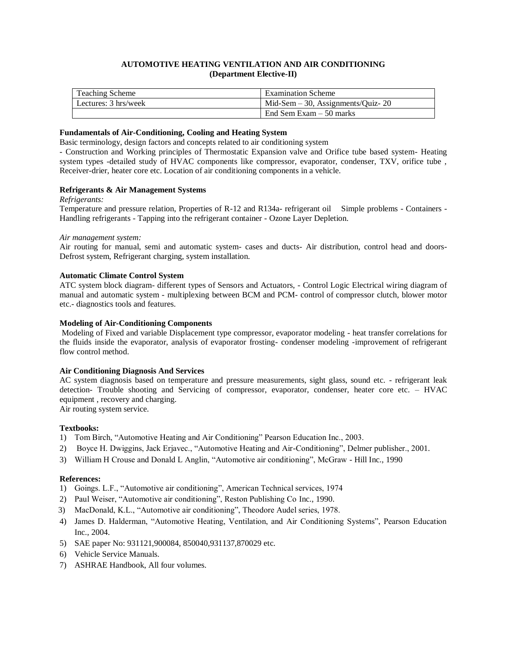# **AUTOMOTIVE HEATING VENTILATION AND AIR CONDITIONING (Department Elective-II)**

| <b>Teaching Scheme</b> | <b>Examination Scheme</b>            |
|------------------------|--------------------------------------|
| Lectures: 3 hrs/week   | Mid-Sem $-30$ , Assignments/Quiz- 20 |
|                        | End Sem Exam $-50$ marks             |

# **Fundamentals of Air-Conditioning, Cooling and Heating System**

Basic terminology, design factors and concepts related to air conditioning system

- Construction and Working principles of Thermostatic Expansion valve and Orifice tube based system- Heating system types -detailed study of HVAC components like compressor, evaporator, condenser, TXV, orifice tube, Receiver-drier, heater core etc. Location of air conditioning components in a vehicle.

# **Refrigerants & Air Management Systems**

#### *Refrigerants:*

Temperature and pressure relation, Properties of R-12 and R134a- refrigerant oil Simple problems - Containers - Handling refrigerants - Tapping into the refrigerant container - Ozone Layer Depletion.

#### *Air management system:*

Air routing for manual, semi and automatic system- cases and ducts- Air distribution, control head and doors-Defrost system, Refrigerant charging, system installation.

# **Automatic Climate Control System**

ATC system block diagram- different types of Sensors and Actuators, - Control Logic Electrical wiring diagram of manual and automatic system - multiplexing between BCM and PCM- control of compressor clutch, blower motor etc.- diagnostics tools and features.

# **Modeling of Air-Conditioning Components**

Modeling of Fixed and variable Displacement type compressor, evaporator modeling - heat transfer correlations for the fluids inside the evaporator, analysis of evaporator frosting- condenser modeling -improvement of refrigerant flow control method.

# **Air Conditioning Diagnosis And Services**

AC system diagnosis based on temperature and pressure measurements, sight glass, sound etc. - refrigerant leak detection- Trouble shooting and Servicing of compressor, evaporator, condenser, heater core etc. – HVAC equipment , recovery and charging.

Air routing system service.

# **Textbooks:**

- 1) Tom Birch, "Automotive Heating and Air Conditioning" Pearson Education Inc., 2003.
- 2) Boyce H. Dwiggins, Jack Erjavec., "Automotive Heating and Air-Conditioning", Delmer publisher., 2001.
- 3) William H Crouse and Donald L Anglin, "Automotive air conditioning", McGraw Hill Inc., 1990

#### **References:**

- 1) Goings. L.F., "Automotive air conditioning", American Technical services, 1974
- 2) Paul Weiser, "Automotive air conditioning", Reston Publishing Co Inc., 1990.
- 3) MacDonald, K.L., "Automotive air conditioning", Theodore Audel series, 1978.
- 4) James D. Halderman, "Automotive Heating, Ventilation, and Air Conditioning Systems", Pearson Education Inc., 2004.
- 5) SAE paper No: 931121,900084, 850040,931137,870029 etc.
- 6) Vehicle Service Manuals.
- 7) ASHRAE Handbook, All four volumes.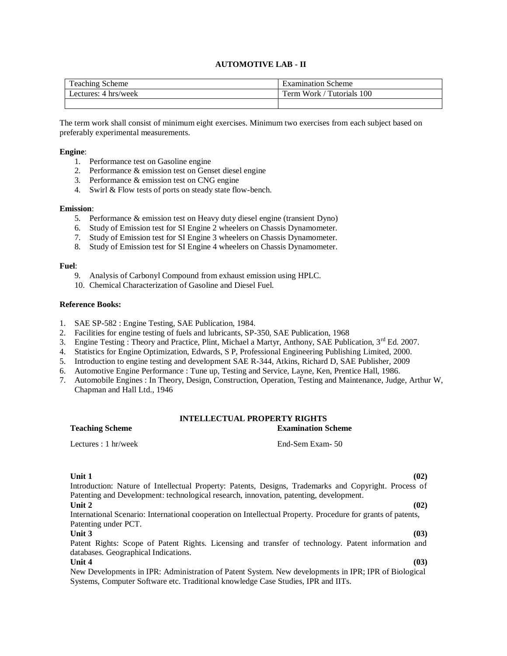# **AUTOMOTIVE LAB - II**

| $\overline{\phantom{a}}$<br>Teaching Scheme | Examination Scheme                                               |
|---------------------------------------------|------------------------------------------------------------------|
| 4 hrs/week<br>Lectures:                     | 100<br>$\mathbf{r}$<br>Work<br>$\mathbf{m}$<br>'utorials'<br>erm |
|                                             |                                                                  |

The term work shall consist of minimum eight exercises. Minimum two exercises from each subject based on preferably experimental measurements.

# **Engine**:

- 1. Performance test on Gasoline engine
- 2. Performance & emission test on Genset diesel engine
- 3. Performance & emission test on CNG engine
- 4. Swirl & Flow tests of ports on steady state flow-bench.

#### **Emission**:

- 5. Performance & emission test on Heavy duty diesel engine (transient Dyno)
- 6. Study of Emission test for SI Engine 2 wheelers on Chassis Dynamometer.
- 7. Study of Emission test for SI Engine 3 wheelers on Chassis Dynamometer.
- 8. Study of Emission test for SI Engine 4 wheelers on Chassis Dynamometer.

#### **Fuel**:

- 9. Analysis of Carbonyl Compound from exhaust emission using HPLC.
- 10. Chemical Characterization of Gasoline and Diesel Fuel.

#### **Reference Books:**

- 1. SAE SP-582 : Engine Testing, SAE Publication, 1984.
- 2. Facilities for engine testing of fuels and lubricants, SP-350, SAE Publication, 1968
- 3. Engine Testing : Theory and Practice, Plint, Michael a Martyr, Anthony, SAE Publication, 3<sup>rd</sup> Ed. 2007.
- 4. Statistics for Engine Optimization, Edwards, S P, Professional Engineering Publishing Limited, 2000.
- 5. Introduction to engine testing and development SAE R-344, Atkins, Richard D, SAE Publisher, 2009
- 6. Automotive Engine Performance : Tune up, Testing and Service, Layne, Ken, Prentice Hall, 1986.
- 7. Automobile Engines : In Theory, Design, Construction, Operation, Testing and Maintenance, Judge, Arthur W, Chapman and Hall Ltd., 1946

# **INTELLECTUAL PROPERTY RIGHTS**

#### **Teaching Scheme Examination Scheme**

Lectures : 1 hr/week End-Sem Exam- 50

# **Unit 1 (02)**

Introduction: Nature of Intellectual Property: Patents, Designs, Trademarks and Copyright. Process of Patenting and Development: technological research, innovation, patenting, development. **Unit 2 (02)** International Scenario: International cooperation on Intellectual Property. Procedure for grants of patents, Patenting under PCT. **Unit 3 (03)** Patent Rights: Scope of Patent Rights. Licensing and transfer of technology. Patent information and databases. Geographical Indications. **Unit 4 (03)** New Developments in IPR: Administration of Patent System. New developments in IPR; IPR of Biological

Systems, Computer Software etc. Traditional knowledge Case Studies, IPR and IITs.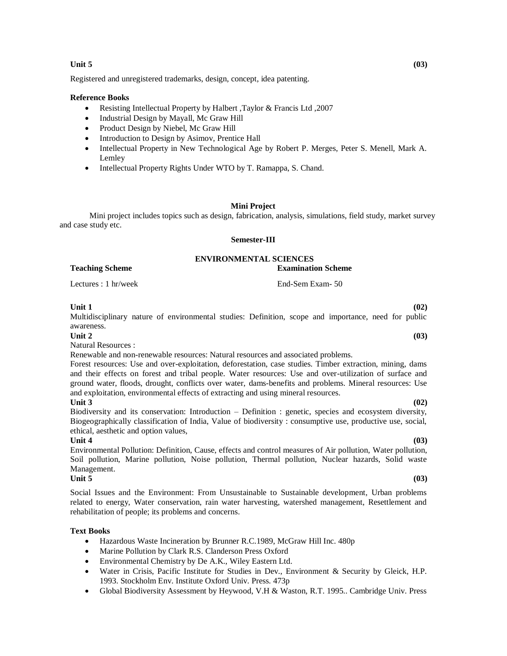# **Unit 5 (03)**

Registered and unregistered trademarks, design, concept, idea patenting.

#### **Reference Books**

- Resisting Intellectual Property by Halbert ,Taylor & Francis Ltd ,2007
- Industrial Design by Mayall, Mc Graw Hill
- Product Design by Niebel, Mc Graw Hill
- Introduction to Design by Asimov, Prentice Hall
- Intellectual Property in New Technological Age by Robert P. Merges, Peter S. Menell, Mark A. Lemley
- Intellectual Property Rights Under WTO by T. Ramappa, S. Chand.

# **Mini Project**

Mini project includes topics such as design, fabrication, analysis, simulations, field study, market survey and case study etc.

#### **Semester-III**

# **ENVIRONMENTAL SCIENCES**

**Teaching Scheme Examination Scheme**

Lectures : 1 hr/week End-Sem Exam- 50

#### **Unit 1 (02)**

Multidisciplinary nature of environmental studies: Definition, scope and importance, need for public awareness.

#### **Unit 2 (03)**

Natural Resources :

Renewable and non-renewable resources: Natural resources and associated problems.

Forest resources: Use and over-exploitation, deforestation, case studies. Timber extraction, mining, dams and their effects on forest and tribal people. Water resources: Use and over-utilization of surface and ground water, floods, drought, conflicts over water, dams-benefits and problems. Mineral resources: Use and exploitation, environmental effects of extracting and using mineral resources.

#### **Unit 3 (02)**

Biodiversity and its conservation: Introduction – Definition : genetic, species and ecosystem diversity, Biogeographically classification of India, Value of biodiversity : consumptive use, productive use, social, ethical, aesthetic and option values,

#### **Unit 4 (03)**

Environmental Pollution: Definition, Cause, effects and control measures of Air pollution, Water pollution, Soil pollution, Marine pollution, Noise pollution, Thermal pollution, Nuclear hazards, Solid waste Management.<br>Unit 5

#### **Unit 5 (03)**

Social Issues and the Environment: From Unsustainable to Sustainable development, Urban problems related to energy, Water conservation, rain water harvesting, watershed management, Resettlement and rehabilitation of people; its problems and concerns.

#### **Text Books**

- Hazardous Waste Incineration by Brunner R.C.1989, McGraw Hill Inc. 480p
- Marine Pollution by Clark R.S. Clanderson Press Oxford
- Environmental Chemistry by De A.K., Wiley Eastern Ltd.
- Water in Crisis, Pacific Institute for Studies in Dev., Environment & Security by Gleick, H.P. 1993. Stockholm Env. Institute Oxford Univ. Press. 473p
- Global Biodiversity Assessment by Heywood, V.H & Waston, R.T. 1995.. Cambridge Univ. Press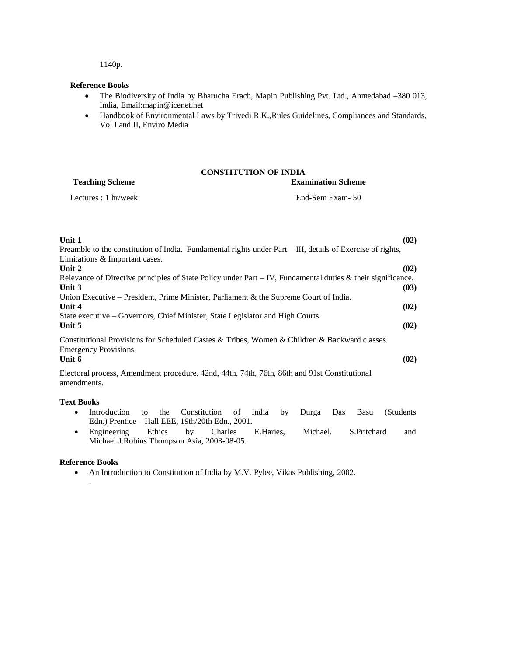1140p.

# **Reference Books**

- The Biodiversity of India by Bharucha Erach, Mapin Publishing Pvt. Ltd., Ahmedabad –380 013, India, Email:mapin@icenet.net
- Handbook of Environmental Laws by Trivedi R.K.,Rules Guidelines, Compliances and Standards, Vol I and II, Enviro Media

# **CONSTITUTION OF INDIA**

| <b>Teaching Scheme</b>         | <b>Examination Scheme</b> |
|--------------------------------|---------------------------|
| Lectures : $1 \text{ hr/week}$ | End-Sem Exam- 50          |

| Unit 1<br>(02)<br>Preamble to the constitution of India. Fundamental rights under Part – III, details of Exercise of rights,<br>Limitations & Important cases. |
|----------------------------------------------------------------------------------------------------------------------------------------------------------------|
| Unit 2<br>(02)                                                                                                                                                 |
| Relevance of Directive principles of State Policy under Part $-V$ , Fundamental duties & their significance.                                                   |
| Unit 3<br>(03)                                                                                                                                                 |
| Union Executive – President, Prime Minister, Parliament & the Supreme Court of India.                                                                          |
| Unit 4<br>(02)                                                                                                                                                 |
| State executive – Governors, Chief Minister, State Legislator and High Courts                                                                                  |
| Unit 5<br>(02)                                                                                                                                                 |
| Constitutional Provisions for Scheduled Castes & Tribes, Women & Children & Backward classes.<br>Emergency Provisions.                                         |
| Unit 6<br>(02)                                                                                                                                                 |
| Electoral process, Amendment procedure, 42nd, 44th, 74th, 76th, 86th and 91st Constitutional<br>amendments.                                                    |

# **Text Books**

- Introduction to the Constitution of India by Durga Das Basu (Students Edn.) Prentice – Hall EEE, 19th/20th Edn., 2001.
- Engineering Ethics by Charles E.Haries, Michael. S.Pritchard and Michael J.Robins Thompson Asia, 2003-08-05.

#### **Reference Books**

.

An Introduction to Constitution of India by M.V. Pylee, Vikas Publishing, 2002.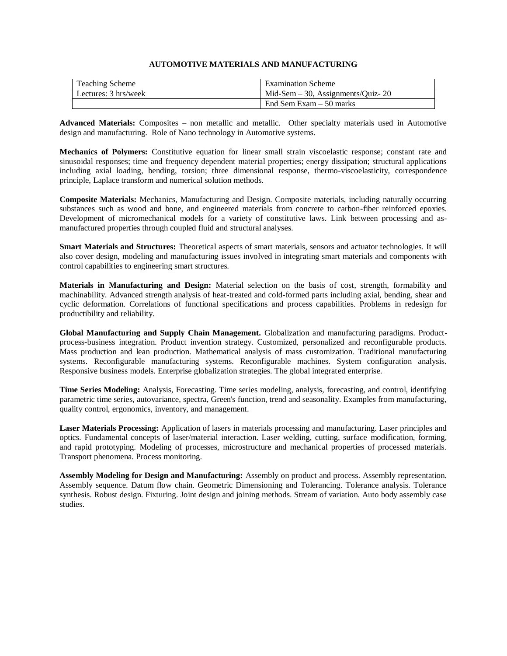# **AUTOMOTIVE MATERIALS AND MANUFACTURING**

| <b>Teaching Scheme</b> | <b>Examination Scheme</b>            |
|------------------------|--------------------------------------|
| Lectures: 3 hrs/week   | Mid-Sem $-30$ , Assignments/Quiz- 20 |
|                        | End Sem Exam $-50$ marks             |

**Advanced Materials:** Composites – non metallic and metallic. Other specialty materials used in Automotive design and manufacturing. Role of Nano technology in Automotive systems.

**Mechanics of Polymers:** Constitutive equation for linear small strain viscoelastic response; constant rate and sinusoidal responses; time and frequency dependent material properties; energy dissipation; structural applications including axial loading, bending, torsion; three dimensional response, thermo-viscoelasticity, correspondence principle, Laplace transform and numerical solution methods.

**Composite Materials:** Mechanics, Manufacturing and Design. Composite materials, including naturally occurring substances such as wood and bone, and engineered materials from concrete to carbon-fiber reinforced epoxies. Development of micromechanical models for a variety of constitutive laws. Link between processing and asmanufactured properties through coupled fluid and structural analyses.

**Smart Materials and Structures:** Theoretical aspects of smart materials, sensors and actuator technologies. It will also cover design, modeling and manufacturing issues involved in integrating smart materials and components with control capabilities to engineering smart structures.

**Materials in Manufacturing and Design:** Material selection on the basis of cost, strength, formability and machinability. Advanced strength analysis of heat-treated and cold-formed parts including axial, bending, shear and cyclic deformation. Correlations of functional specifications and process capabilities. Problems in redesign for productibility and reliability.

**Global Manufacturing and Supply Chain Management.** Globalization and manufacturing paradigms. Productprocess-business integration. Product invention strategy. Customized, personalized and reconfigurable products. Mass production and lean production. Mathematical analysis of mass customization. Traditional manufacturing systems. Reconfigurable manufacturing systems. Reconfigurable machines. System configuration analysis. Responsive business models. Enterprise globalization strategies. The global integrated enterprise.

**Time Series Modeling:** Analysis, Forecasting. Time series modeling, analysis, forecasting, and control, identifying parametric time series, autovariance, spectra, Green's function, trend and seasonality. Examples from manufacturing, quality control, ergonomics, inventory, and management.

**Laser Materials Processing:** Application of lasers in materials processing and manufacturing. Laser principles and optics. Fundamental concepts of laser/material interaction. Laser welding, cutting, surface modification, forming, and rapid prototyping. Modeling of processes, microstructure and mechanical properties of processed materials. Transport phenomena. Process monitoring.

**Assembly Modeling for Design and Manufacturing:** Assembly on product and process. Assembly representation. Assembly sequence. Datum flow chain. Geometric Dimensioning and Tolerancing. Tolerance analysis. Tolerance synthesis. Robust design. Fixturing. Joint design and joining methods. Stream of variation. Auto body assembly case studies.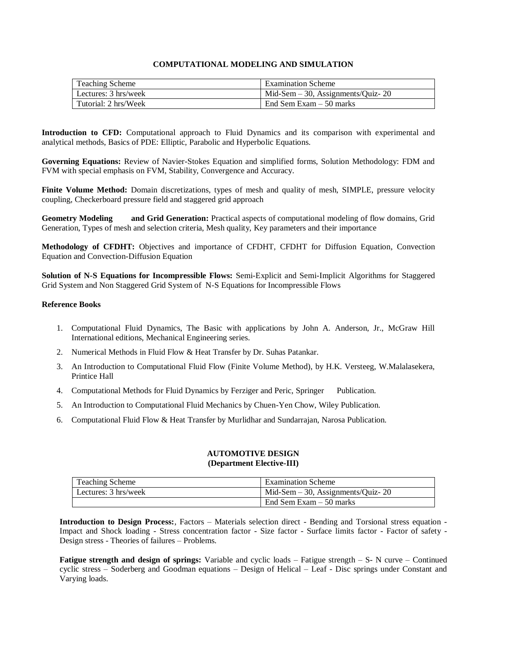# **COMPUTATIONAL MODELING AND SIMULATION**

| Teaching Scheme      | <b>Examination Scheme</b>            |
|----------------------|--------------------------------------|
| Lectures: 3 hrs/week | Mid-Sem $-30$ , Assignments/Quiz- 20 |
| Tutorial: 2 hrs/Week | End Sem Exam $-50$ marks             |

**Introduction to CFD:** Computational approach to Fluid Dynamics and its comparison with experimental and analytical methods, Basics of PDE: Elliptic, Parabolic and Hyperbolic Equations.

**Governing Equations:** Review of Navier-Stokes Equation and simplified forms, Solution Methodology: FDM and FVM with special emphasis on FVM, Stability, Convergence and Accuracy.

**Finite Volume Method:** Domain discretizations, types of mesh and quality of mesh, SIMPLE, pressure velocity coupling, Checkerboard pressure field and staggered grid approach

**Geometry Modeling and Grid Generation:** Practical aspects of computational modeling of flow domains, Grid Generation, Types of mesh and selection criteria, Mesh quality, Key parameters and their importance

**Methodology of CFDHT:** Objectives and importance of CFDHT, CFDHT for Diffusion Equation, Convection Equation and Convection-Diffusion Equation

**Solution of N-S Equations for Incompressible Flows:** Semi-Explicit and Semi-Implicit Algorithms for Staggered Grid System and Non Staggered Grid System of N-S Equations for Incompressible Flows

# **Reference Books**

- 1. Computational Fluid Dynamics, The Basic with applications by John A. Anderson, Jr., McGraw Hill International editions, Mechanical Engineering series.
- 2. Numerical Methods in Fluid Flow & Heat Transfer by Dr. Suhas Patankar.
- 3. An Introduction to Computational Fluid Flow (Finite Volume Method), by H.K. Versteeg, W.Malalasekera, Printice Hall
- 4. Computational Methods for Fluid Dynamics by Ferziger and Peric, Springer Publication.
- 5. An Introduction to Computational Fluid Mechanics by Chuen-Yen Chow, Wiley Publication.
- 6. Computational Fluid Flow & Heat Transfer by Murlidhar and Sundarrajan, Narosa Publication.

# **AUTOMOTIVE DESIGN (Department Elective-III)**

| <b>Teaching Scheme</b> | <b>Examination Scheme</b>            |
|------------------------|--------------------------------------|
| Lectures: 3 hrs/week   | Mid-Sem $-30$ , Assignments/Quiz- 20 |
|                        | End Sem Exam $-50$ marks             |

**Introduction to Design Process:**, Factors – Materials selection direct - Bending and Torsional stress equation - Impact and Shock loading - Stress concentration factor - Size factor - Surface limits factor - Factor of safety - Design stress - Theories of failures – Problems.

**Fatigue strength and design of springs:** Variable and cyclic loads – Fatigue strength – S- N curve – Continued cyclic stress – Soderberg and Goodman equations – Design of Helical – Leaf - Disc springs under Constant and Varying loads.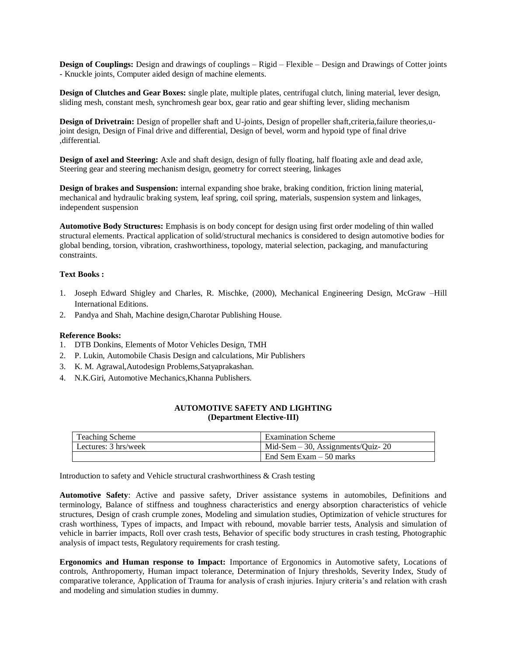**Design of Couplings:** Design and drawings of couplings – Rigid – Flexible – Design and Drawings of Cotter joints - Knuckle joints, Computer aided design of machine elements.

**Design of Clutches and Gear Boxes:** single plate, multiple plates, centrifugal clutch, lining material, lever design, sliding mesh, constant mesh, synchromesh gear box, gear ratio and gear shifting lever, sliding mechanism

**Design of Drivetrain:** Design of propeller shaft and U-joints, Design of propeller shaft, criteria, failure theories, ujoint design, Design of Final drive and differential, Design of bevel, worm and hypoid type of final drive ,differential.

**Design of axel and Steering:** Axle and shaft design, design of fully floating, half floating axle and dead axle, Steering gear and steering mechanism design, geometry for correct steering, linkages

**Design of brakes and Suspension:** internal expanding shoe brake, braking condition, friction lining material, mechanical and hydraulic braking system, leaf spring, coil spring, materials, suspension system and linkages, independent suspension

**Automotive Body Structures:** Emphasis is on body concept for design using first order modeling of thin walled structural elements. Practical application of solid/structural mechanics is considered to design automotive bodies for global bending, torsion, vibration, crashworthiness, topology, material selection, packaging, and manufacturing constraints.

# **Text Books :**

- 1. Joseph Edward Shigley and Charles, R. Mischke, (2000), Mechanical Engineering Design, McGraw –Hill International Editions.
- 2. Pandya and Shah, Machine design,Charotar Publishing House.

# **Reference Books:**

- 1. DTB Donkins, Elements of Motor Vehicles Design, TMH
- 2. P. Lukin, Automobile Chasis Design and calculations, Mir Publishers
- 3. K. M. Agrawal,Autodesign Problems,Satyaprakashan.
- 4. N.K.Giri, Automotive Mechanics,Khanna Publishers.

# **AUTOMOTIVE SAFETY AND LIGHTING (Department Elective-III)**

| <b>Teaching Scheme</b> | <b>Examination Scheme</b>            |
|------------------------|--------------------------------------|
| Lectures: 3 hrs/week   | Mid-Sem $-30$ , Assignments/Quiz- 20 |
|                        | End Sem Exam $-50$ marks             |

Introduction to safety and Vehicle structural crashworthiness & Crash testing

**Automotive Safety**: Active and passive safety, Driver assistance systems in automobiles, Definitions and terminology, Balance of stiffness and toughness characteristics and energy absorption characteristics of vehicle structures, Design of crash crumple zones, Modeling and simulation studies, Optimization of vehicle structures for crash worthiness, Types of impacts, and Impact with rebound, movable barrier tests, Analysis and simulation of vehicle in barrier impacts, Roll over crash tests, Behavior of specific body structures in crash testing, Photographic analysis of impact tests, Regulatory requirements for crash testing.

**Ergonomics and Human response to Impact:** Importance of Ergonomics in Automotive safety, Locations of controls, Anthropomerty, Human impact tolerance, Determination of Injury thresholds, Severity Index, Study of comparative tolerance, Application of Trauma for analysis of crash injuries. Injury criteria's and relation with crash and modeling and simulation studies in dummy.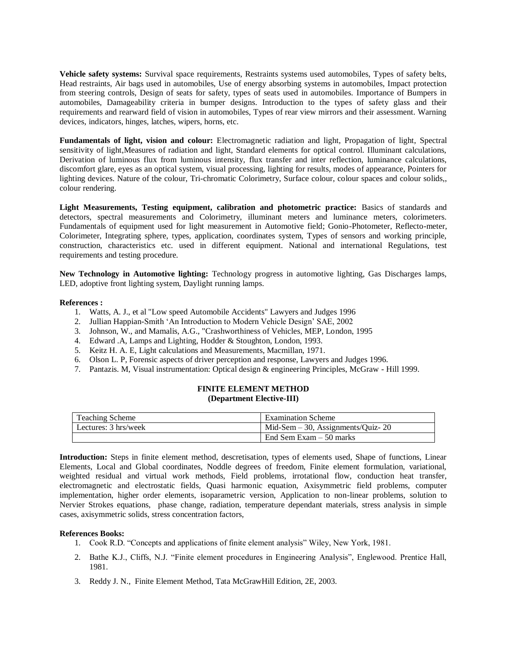**Vehicle safety systems:** Survival space requirements, Restraints systems used automobiles, Types of safety belts, Head restraints, Air bags used in automobiles, Use of energy absorbing systems in automobiles, Impact protection from steering controls, Design of seats for safety, types of seats used in automobiles. Importance of Bumpers in automobiles, Damageability criteria in bumper designs. Introduction to the types of safety glass and their requirements and rearward field of vision in automobiles, Types of rear view mirrors and their assessment. Warning devices, indicators, hinges, latches, wipers, horns, etc.

**Fundamentals of light, vision and colour:** Electromagnetic radiation and light, Propagation of light, Spectral sensitivity of light,Measures of radiation and light, Standard elements for optical control. Illuminant calculations, Derivation of luminous flux from luminous intensity, flux transfer and inter reflection, luminance calculations, discomfort glare, eyes as an optical system, visual processing, lighting for results, modes of appearance, Pointers for lighting devices. Nature of the colour, Tri-chromatic Colorimetry, Surface colour, colour spaces and colour solids,, colour rendering.

**Light Measurements, Testing equipment, calibration and photometric practice:** Basics of standards and detectors, spectral measurements and Colorimetry, illuminant meters and luminance meters, colorimeters. Fundamentals of equipment used for light measurement in Automotive field; Gonio-Photometer, Reflecto-meter, Colorimeter, Integrating sphere, types, application, coordinates system, Types of sensors and working principle, construction, characteristics etc. used in different equipment. National and international Regulations, test requirements and testing procedure.

**New Technology in Automotive lighting:** Technology progress in automotive lighting, Gas Discharges lamps, LED, adoptive front lighting system, Daylight running lamps.

#### **References :**

- 1. Watts, A. J., et al "Low speed Automobile Accidents" Lawyers and Judges 1996
- 2. Jullian Happian-Smith 'An Introduction to Modern Vehicle Design' SAE, 2002
- 3. Johnson, W., and Mamalis, A.G., "Crashworthiness of Vehicles, MEP, London, 1995
- 4. Edward .A, Lamps and Lighting, Hodder & Stoughton, London, 1993.
- 5. Keitz H. A. E, Light calculations and Measurements, Macmillan, 1971.
- 6. Olson L. P, Forensic aspects of driver perception and response, Lawyers and Judges 1996.
- 7. Pantazis. M, Visual instrumentation: Optical design & engineering Principles, McGraw Hill 1999.

# **FINITE ELEMENT METHOD (Department Elective-III)**

| <b>Teaching Scheme</b> | <b>Examination Scheme</b>            |
|------------------------|--------------------------------------|
| Lectures: 3 hrs/week   | Mid-Sem $-30$ , Assignments/Quiz- 20 |
|                        | End Sem Exam $-50$ marks             |

**Introduction:** Steps in finite element method, descretisation, types of elements used, Shape of functions, Linear Elements, Local and Global coordinates, Noddle degrees of freedom, Finite element formulation, variational, weighted residual and virtual work methods, Field problems, irrotational flow, conduction heat transfer, electromagnetic and electrostatic fields, Quasi harmonic equation, Axisymmetric field problems, computer implementation, higher order elements, isoparametric version, Application to non-linear problems, solution to Nervier Strokes equations, phase change, radiation, temperature dependant materials, stress analysis in simple cases, axisymmetric solids, stress concentration factors,

# **References Books:**

- 1. Cook R.D. "Concepts and applications of finite element analysis" Wiley, New York, 1981.
- 2. Bathe K.J., Cliffs, N.J. "Finite element procedures in Engineering Analysis", Englewood. Prentice Hall, 1981.
- 3. Reddy J. N., Finite Element Method, Tata McGrawHill Edition, 2E, 2003.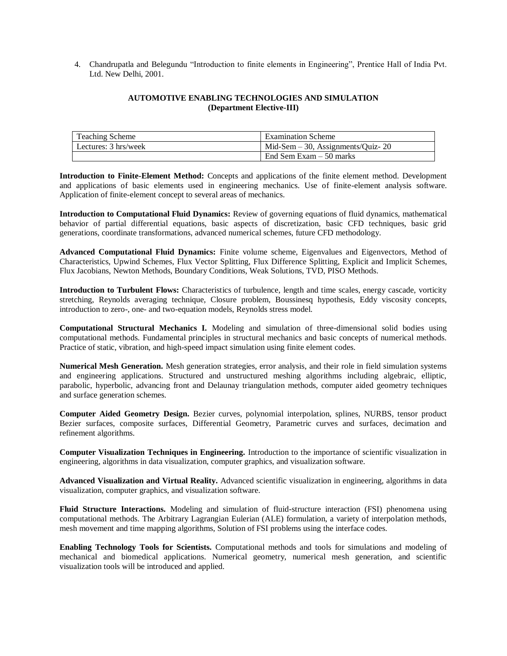4. Chandrupatla and Belegundu "Introduction to finite elements in Engineering", Prentice Hall of India Pvt. Ltd. New Delhi, 2001.

# **AUTOMOTIVE ENABLING TECHNOLOGIES AND SIMULATION (Department Elective-III)**

| <b>Teaching Scheme</b> | <b>Examination Scheme</b>            |
|------------------------|--------------------------------------|
| Lectures: 3 hrs/week   | Mid-Sem $-30$ , Assignments/Quiz- 20 |
|                        | End Sem Exam – 50 marks              |

**Introduction to Finite-Element Method:** Concepts and applications of the finite element method. Development and applications of basic elements used in engineering mechanics. Use of finite-element analysis software. Application of finite-element concept to several areas of mechanics.

**Introduction to Computational Fluid Dynamics:** Review of governing equations of fluid dynamics, mathematical behavior of partial differential equations, basic aspects of discretization, basic CFD techniques, basic grid generations, coordinate transformations, advanced numerical schemes, future CFD methodology.

**Advanced Computational Fluid Dynamics:** Finite volume scheme, Eigenvalues and Eigenvectors, Method of Characteristics, Upwind Schemes, Flux Vector Splitting, Flux Difference Splitting, Explicit and Implicit Schemes, Flux Jacobians, Newton Methods, Boundary Conditions, Weak Solutions, TVD, PISO Methods.

**Introduction to Turbulent Flows:** Characteristics of turbulence, length and time scales, energy cascade, vorticity stretching, Reynolds averaging technique, Closure problem, Boussinesq hypothesis, Eddy viscosity concepts, introduction to zero-, one- and two-equation models, Reynolds stress model.

**Computational Structural Mechanics I.** Modeling and simulation of three-dimensional solid bodies using computational methods. Fundamental principles in structural mechanics and basic concepts of numerical methods. Practice of static, vibration, and high-speed impact simulation using finite element codes.

**Numerical Mesh Generation.** Mesh generation strategies, error analysis, and their role in field simulation systems and engineering applications. Structured and unstructured meshing algorithms including algebraic, elliptic, parabolic, hyperbolic, advancing front and Delaunay triangulation methods, computer aided geometry techniques and surface generation schemes.

**Computer Aided Geometry Design.** Bezier curves, polynomial interpolation, splines, NURBS, tensor product Bezier surfaces, composite surfaces, Differential Geometry, Parametric curves and surfaces, decimation and refinement algorithms.

**Computer Visualization Techniques in Engineering.** Introduction to the importance of scientific visualization in engineering, algorithms in data visualization, computer graphics, and visualization software.

**Advanced Visualization and Virtual Reality.** Advanced scientific visualization in engineering, algorithms in data visualization, computer graphics, and visualization software.

**Fluid Structure Interactions.** Modeling and simulation of fluid-structure interaction (FSI) phenomena using computational methods. The Arbitrary Lagrangian Eulerian (ALE) formulation, a variety of interpolation methods, mesh movement and time mapping algorithms, Solution of FSI problems using the interface codes.

**Enabling Technology Tools for Scientists.** Computational methods and tools for simulations and modeling of mechanical and biomedical applications. Numerical geometry, numerical mesh generation, and scientific visualization tools will be introduced and applied.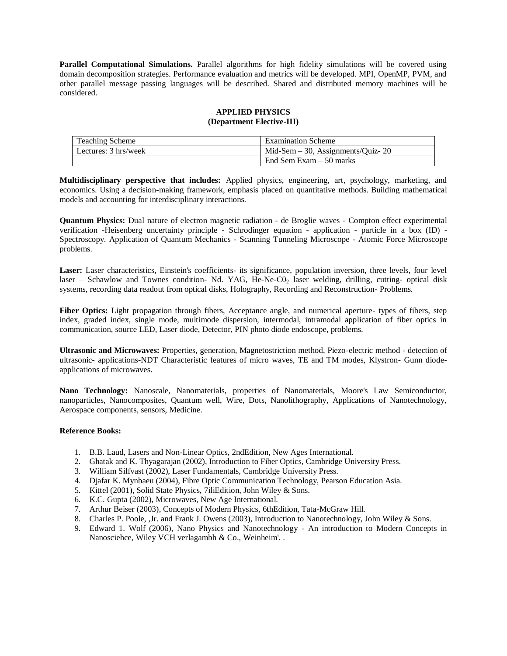**Parallel Computational Simulations.** Parallel algorithms for high fidelity simulations will be covered using domain decomposition strategies. Performance evaluation and metrics will be developed. MPI, OpenMP, PVM, and other parallel message passing languages will be described. Shared and distributed memory machines will be considered.

# **APPLIED PHYSICS (Department Elective-III)**

| <b>Teaching Scheme</b> | <b>Examination Scheme</b>            |
|------------------------|--------------------------------------|
| Lectures: 3 hrs/week   | Mid-Sem $-30$ , Assignments/Quiz- 20 |
|                        | End Sem Exam $-50$ marks             |

**Multidisciplinary perspective that includes:** Applied physics, engineering, art, psychology, marketing, and economics. Using a decision-making framework, emphasis placed on quantitative methods. Building mathematical models and accounting for interdisciplinary interactions.

**Quantum Physics:** Dual nature of electron magnetic radiation - de Broglie waves - Compton effect experimental verification -Heisenberg uncertainty principle - Schrodinger equation - application - particle in a box (ID) - Spectroscopy. Application of Quantum Mechanics - Scanning Tunneling Microscope - Atomic Force Microscope problems.

Laser: Laser characteristics, Einstein's coefficients- its significance, population inversion, three levels, four level laser – Schawlow and Townes condition- Nd. YAG, He-Ne-C0, laser welding, drilling, cutting- optical disk systems, recording data readout from optical disks, Holography, Recording and Reconstruction- Problems.

**Fiber Optics:** Light propagation through fibers, Acceptance angle, and numerical aperture- types of fibers, step index, graded index, single mode, multimode dispersion, intermodal, intramodal application of fiber optics in communication, source LED, Laser diode, Detector, PIN photo diode endoscope, problems.

**Ultrasonic and Microwaves:** Properties, generation, Magnetostriction method, Piezo-electric method - detection of ultrasonic- applications-NDT Characteristic features of micro waves, TE and TM modes, Klystron- Gunn diodeapplications of microwaves.

**Nano Technology:** Nanoscale, Nanomaterials, properties of Nanomaterials, Moore's Law Semiconductor, nanoparticles, Nanocomposites, Quantum well, Wire, Dots, Nanolithography, Applications of Nanotechnology, Aerospace components, sensors, Medicine.

# **Reference Books:**

- 1. B.B. Laud, Lasers and Non-Linear Optics, 2ndEdition, New Ages International.
- 2. Ghatak and K. Thyagarajan (2002), Introduction to Fiber Optics, Cambridge University Press.
- 3. William Silfvast (2002), Laser Fundamentals, Cambridge University Press.
- 4. Djafar K. Mynbaeu (2004), Fibre Optic Communication Technology, Pearson Education Asia.
- 5. Kittel (2001), Solid State Physics, 7iliEdition, John Wiley & Sons.
- 6. K.C. Gupta (2002), Microwaves, New Age International.
- 7. Arthur Beiser (2003), Concepts of Modern Physics, 6thEdition, Tata-McGraw Hill.
- 8. Charles P. Poole, ,Jr. and Frank J. Owens (2003), Introduction to Nanotechnology, John Wiley & Sons.
- 9. Edward 1. Wolf (2006), Nano Physics and Nanotechnology An introduction to Modern Concepts in Nanosciehce, Wiley VCH verlagambh & Co., Weinheim'. .